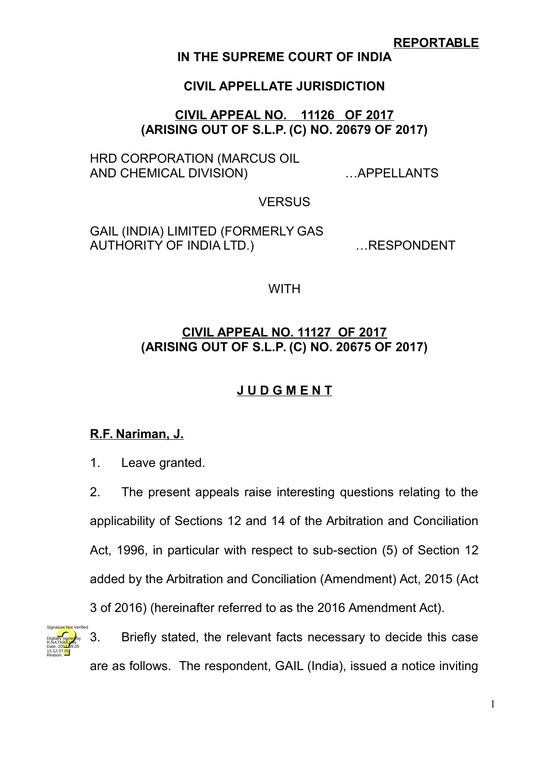## **REPORTABLE**

## **IN THE SUPREME COURT OF INDIA**

## **CIVIL APPELLATE JURISDICTION**

## **CIVIL APPEAL NO. 11126 OF 2017 (ARISING OUT OF S.L.P. (C) NO. 20679 OF 2017)**

HRD CORPORATION (MARCUS OIL AND CHEMICAL DIVISION) …APPELLANTS

### **VERSUS**

GAIL (INDIA) LIMITED (FORMERLY GAS AUTHORITY OF INDIA LTD.) …RESPONDENT

### **WITH**

## **CIVIL APPEAL NO. 11127 OF 2017 (ARISING OUT OF S.L.P. (C) NO. 20675 OF 2017)**

# **J U D G M E N T**

# **R.F. Nariman, J.**

1. Leave granted.

2. The present appeals raise interesting questions relating to the applicability of Sections 12 and 14 of the Arbitration and Conciliation Act, 1996, in particular with respect to sub-section (5) of Section 12 added by the Arbitration and Conciliation (Amendment) Act, 2015 (Act 3 of 2016) (hereinafter referred to as the 2016 Amendment Act).



3. Briefly stated, the relevant facts necessary to decide this case are as follows. The respondent, GAIL (India), issued a notice inviting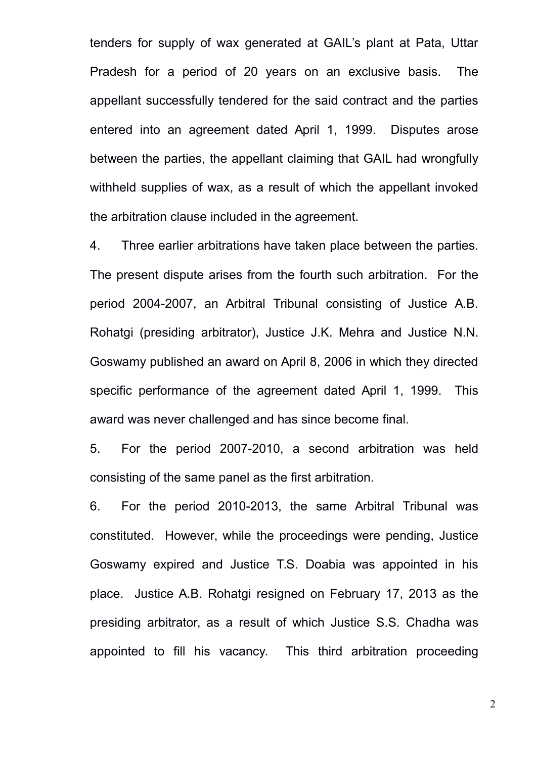tenders for supply of wax generated at GAIL's plant at Pata, Uttar Pradesh for a period of 20 years on an exclusive basis. The appellant successfully tendered for the said contract and the parties entered into an agreement dated April 1, 1999. Disputes arose between the parties, the appellant claiming that GAIL had wrongfully withheld supplies of wax, as a result of which the appellant invoked the arbitration clause included in the agreement.

4. Three earlier arbitrations have taken place between the parties. The present dispute arises from the fourth such arbitration. For the period 2004-2007, an Arbitral Tribunal consisting of Justice A.B. Rohatgi (presiding arbitrator), Justice J.K. Mehra and Justice N.N. Goswamy published an award on April 8, 2006 in which they directed specific performance of the agreement dated April 1, 1999. This award was never challenged and has since become final.

5. For the period 2007-2010, a second arbitration was held consisting of the same panel as the first arbitration.

6. For the period 2010-2013, the same Arbitral Tribunal was constituted. However, while the proceedings were pending, Justice Goswamy expired and Justice T.S. Doabia was appointed in his place. Justice A.B. Rohatgi resigned on February 17, 2013 as the presiding arbitrator, as a result of which Justice S.S. Chadha was appointed to fill his vacancy. This third arbitration proceeding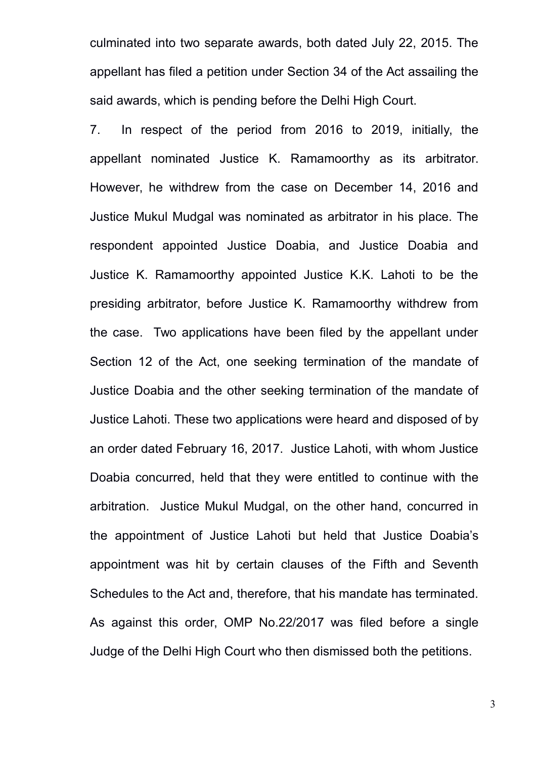culminated into two separate awards, both dated July 22, 2015. The appellant has filed a petition under Section 34 of the Act assailing the said awards, which is pending before the Delhi High Court.

7. In respect of the period from 2016 to 2019, initially, the appellant nominated Justice K. Ramamoorthy as its arbitrator. However, he withdrew from the case on December 14, 2016 and Justice Mukul Mudgal was nominated as arbitrator in his place. The respondent appointed Justice Doabia, and Justice Doabia and Justice K. Ramamoorthy appointed Justice K.K. Lahoti to be the presiding arbitrator, before Justice K. Ramamoorthy withdrew from the case. Two applications have been filed by the appellant under Section 12 of the Act, one seeking termination of the mandate of Justice Doabia and the other seeking termination of the mandate of Justice Lahoti. These two applications were heard and disposed of by an order dated February 16, 2017. Justice Lahoti, with whom Justice Doabia concurred, held that they were entitled to continue with the arbitration. Justice Mukul Mudgal, on the other hand, concurred in the appointment of Justice Lahoti but held that Justice Doabia's appointment was hit by certain clauses of the Fifth and Seventh Schedules to the Act and, therefore, that his mandate has terminated. As against this order, OMP No.22/2017 was filed before a single Judge of the Delhi High Court who then dismissed both the petitions.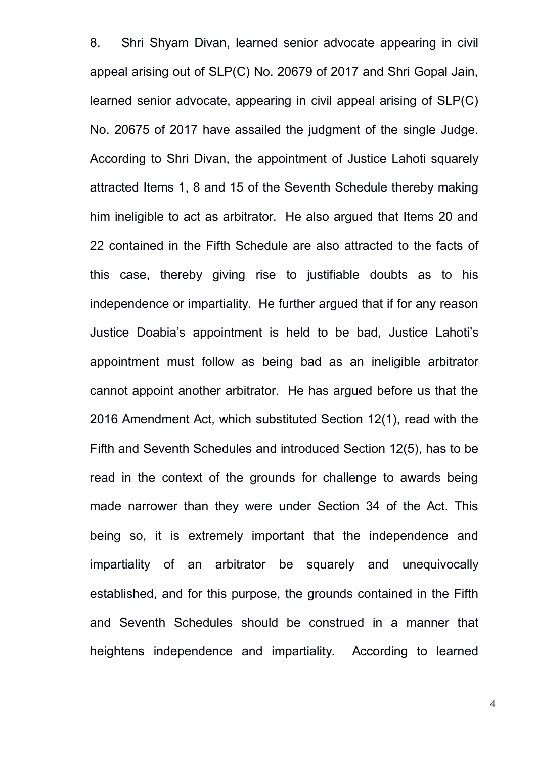8. Shri Shyam Divan, learned senior advocate appearing in civil appeal arising out of SLP(C) No. 20679 of 2017 and Shri Gopal Jain, learned senior advocate, appearing in civil appeal arising of SLP(C) No. 20675 of 2017 have assailed the judgment of the single Judge. According to Shri Divan, the appointment of Justice Lahoti squarely attracted Items 1, 8 and 15 of the Seventh Schedule thereby making him ineligible to act as arbitrator. He also argued that Items 20 and 22 contained in the Fifth Schedule are also attracted to the facts of this case, thereby giving rise to justifiable doubts as to his independence or impartiality. He further argued that if for any reason Justice Doabia's appointment is held to be bad, Justice Lahoti's appointment must follow as being bad as an ineligible arbitrator cannot appoint another arbitrator. He has argued before us that the 2016 Amendment Act, which substituted Section 12(1), read with the Fifth and Seventh Schedules and introduced Section 12(5), has to be read in the context of the grounds for challenge to awards being made narrower than they were under Section 34 of the Act. This being so, it is extremely important that the independence and impartiality of an arbitrator be squarely and unequivocally established, and for this purpose, the grounds contained in the Fifth and Seventh Schedules should be construed in a manner that heightens independence and impartiality. According to learned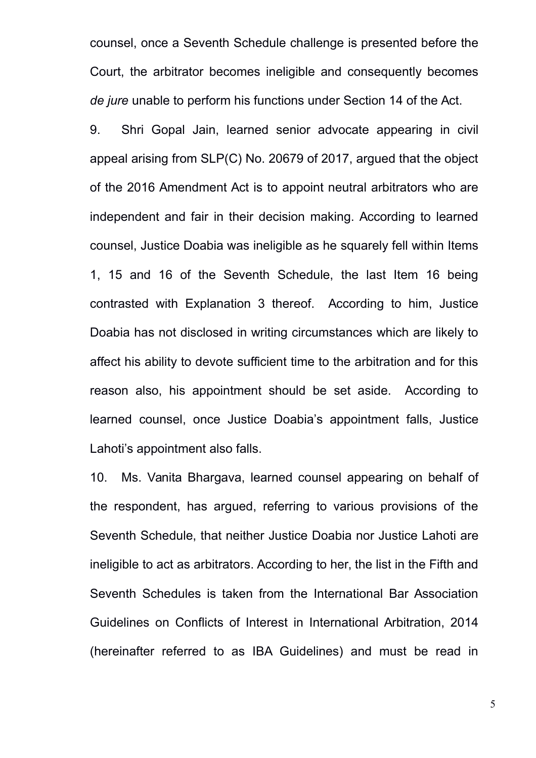counsel, once a Seventh Schedule challenge is presented before the Court, the arbitrator becomes ineligible and consequently becomes *de jure* unable to perform his functions under Section 14 of the Act.

9. Shri Gopal Jain, learned senior advocate appearing in civil appeal arising from SLP(C) No. 20679 of 2017, argued that the object of the 2016 Amendment Act is to appoint neutral arbitrators who are independent and fair in their decision making. According to learned counsel, Justice Doabia was ineligible as he squarely fell within Items 1, 15 and 16 of the Seventh Schedule, the last Item 16 being contrasted with Explanation 3 thereof. According to him, Justice Doabia has not disclosed in writing circumstances which are likely to affect his ability to devote sufficient time to the arbitration and for this reason also, his appointment should be set aside. According to learned counsel, once Justice Doabia's appointment falls, Justice Lahoti's appointment also falls.

10. Ms. Vanita Bhargava, learned counsel appearing on behalf of the respondent, has argued, referring to various provisions of the Seventh Schedule, that neither Justice Doabia nor Justice Lahoti are ineligible to act as arbitrators. According to her, the list in the Fifth and Seventh Schedules is taken from the International Bar Association Guidelines on Conflicts of Interest in International Arbitration, 2014 (hereinafter referred to as IBA Guidelines) and must be read in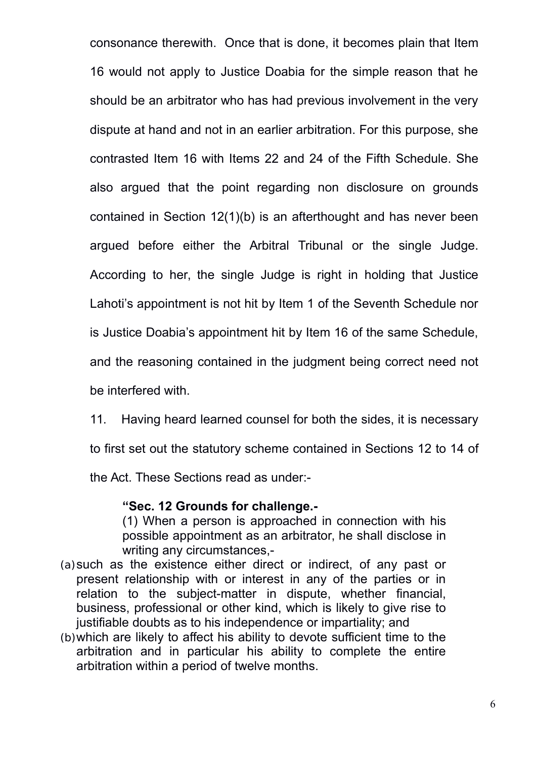consonance therewith. Once that is done, it becomes plain that Item 16 would not apply to Justice Doabia for the simple reason that he should be an arbitrator who has had previous involvement in the very dispute at hand and not in an earlier arbitration. For this purpose, she contrasted Item 16 with Items 22 and 24 of the Fifth Schedule. She also argued that the point regarding non disclosure on grounds contained in Section 12(1)(b) is an afterthought and has never been argued before either the Arbitral Tribunal or the single Judge. According to her, the single Judge is right in holding that Justice Lahoti's appointment is not hit by Item 1 of the Seventh Schedule nor is Justice Doabia's appointment hit by Item 16 of the same Schedule, and the reasoning contained in the judgment being correct need not be interfered with.

11. Having heard learned counsel for both the sides, it is necessary

to first set out the statutory scheme contained in Sections 12 to 14 of

the Act. These Sections read as under:-

#### **"Sec. 12 Grounds for challenge.-**

(1) When a person is approached in connection with his possible appointment as an arbitrator, he shall disclose in writing any circumstances,-

- (a)such as the existence either direct or indirect, of any past or present relationship with or interest in any of the parties or in relation to the subject-matter in dispute, whether financial, business, professional or other kind, which is likely to give rise to justifiable doubts as to his independence or impartiality; and
- (b)which are likely to affect his ability to devote sufficient time to the arbitration and in particular his ability to complete the entire arbitration within a period of twelve months.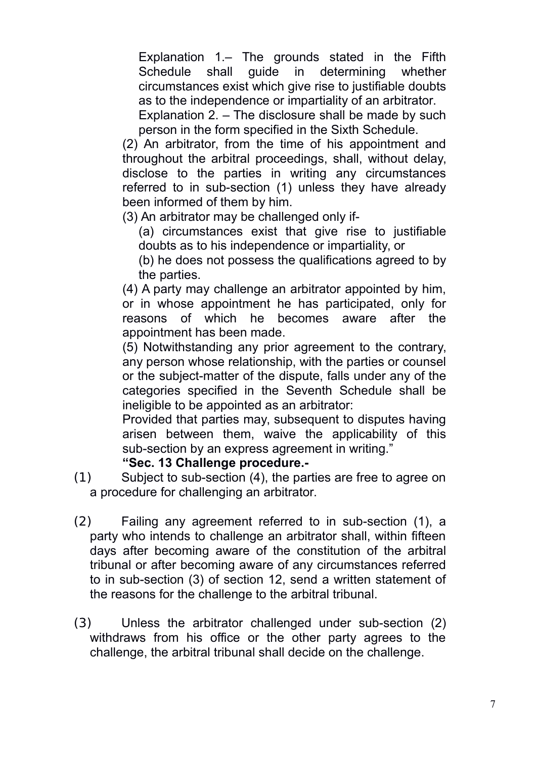Explanation 1.– The grounds stated in the Fifth Schedule shall guide in determining whether circumstances exist which give rise to justifiable doubts as to the independence or impartiality of an arbitrator.

Explanation 2. – The disclosure shall be made by such person in the form specified in the Sixth Schedule.

(2) An arbitrator, from the time of his appointment and throughout the arbitral proceedings, shall, without delay, disclose to the parties in writing any circumstances referred to in sub-section (1) unless they have already been informed of them by him.

(3) An arbitrator may be challenged only if-

- (a) circumstances exist that give rise to justifiable doubts as to his independence or impartiality, or
- (b) he does not possess the qualifications agreed to by the parties.

(4) A party may challenge an arbitrator appointed by him, or in whose appointment he has participated, only for reasons of which he becomes aware after the appointment has been made.

(5) Notwithstanding any prior agreement to the contrary, any person whose relationship, with the parties or counsel or the subject-matter of the dispute, falls under any of the categories specified in the Seventh Schedule shall be ineligible to be appointed as an arbitrator:

Provided that parties may, subsequent to disputes having arisen between them, waive the applicability of this sub-section by an express agreement in writing."

### **"Sec. 13 Challenge procedure.-**

- (1) Subject to sub-section (4), the parties are free to agree on a procedure for challenging an arbitrator.
- (2) Failing any agreement referred to in sub-section (1), a party who intends to challenge an arbitrator shall, within fifteen days after becoming aware of the constitution of the arbitral tribunal or after becoming aware of any circumstances referred to in sub-section (3) of section 12, send a written statement of the reasons for the challenge to the arbitral tribunal.
- (3) Unless the arbitrator challenged under sub-section (2) withdraws from his office or the other party agrees to the challenge, the arbitral tribunal shall decide on the challenge.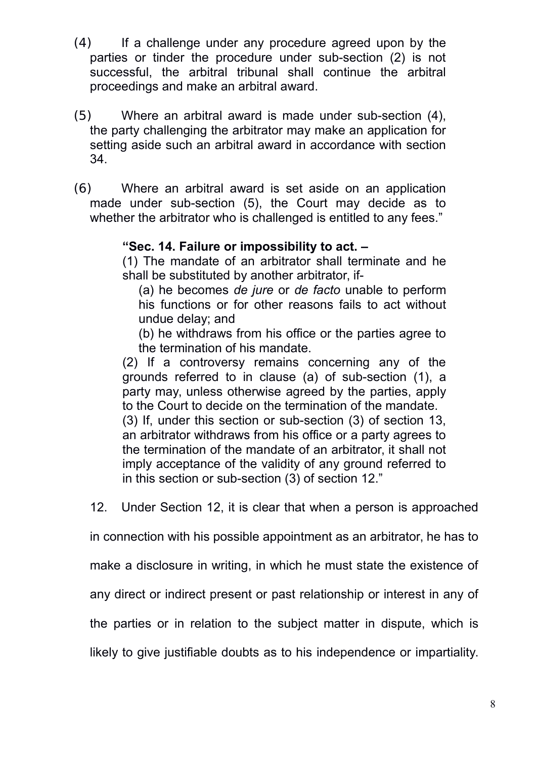- (4) If a challenge under any procedure agreed upon by the parties or tinder the procedure under sub-section (2) is not successful, the arbitral tribunal shall continue the arbitral proceedings and make an arbitral award.
- (5) Where an arbitral award is made under sub-section (4), the party challenging the arbitrator may make an application for setting aside such an arbitral award in accordance with section 34.
- (6) Where an arbitral award is set aside on an application made under sub-section (5), the Court may decide as to whether the arbitrator who is challenged is entitled to any fees."

### **"Sec. 14. Failure or impossibility to act. –**

(1) The mandate of an arbitrator shall terminate and he shall be substituted by another arbitrator, if-

(a) he becomes *de jure* or *de facto* unable to perform his functions or for other reasons fails to act without undue delay; and

(b) he withdraws from his office or the parties agree to the termination of his mandate.

(2) If a controversy remains concerning any of the grounds referred to in clause (a) of sub-section (1), a party may, unless otherwise agreed by the parties, apply to the Court to decide on the termination of the mandate. (3) If, under this section or sub-section (3) of section 13, an arbitrator withdraws from his office or a party agrees to the termination of the mandate of an arbitrator, it shall not imply acceptance of the validity of any ground referred to in this section or sub-section (3) of section 12."

12. Under Section 12, it is clear that when a person is approached

in connection with his possible appointment as an arbitrator, he has to

make a disclosure in writing, in which he must state the existence of

any direct or indirect present or past relationship or interest in any of

the parties or in relation to the subject matter in dispute, which is

likely to give justifiable doubts as to his independence or impartiality.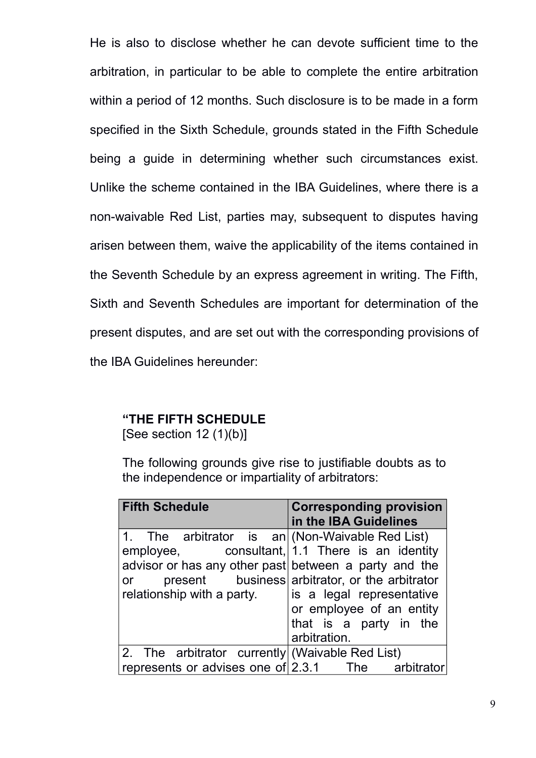He is also to disclose whether he can devote sufficient time to the arbitration, in particular to be able to complete the entire arbitration within a period of 12 months. Such disclosure is to be made in a form specified in the Sixth Schedule, grounds stated in the Fifth Schedule being a guide in determining whether such circumstances exist. Unlike the scheme contained in the IBA Guidelines, where there is a non-waivable Red List, parties may, subsequent to disputes having arisen between them, waive the applicability of the items contained in the Seventh Schedule by an express agreement in writing. The Fifth, Sixth and Seventh Schedules are important for determination of the present disputes, and are set out with the corresponding provisions of the IBA Guidelines hereunder:

#### **"THE FIFTH SCHEDULE**

[See section  $12(1)(b)$ ]

The following grounds give rise to justifiable doubts as to the independence or impartiality of arbitrators:

| <b>Fifth Schedule</b>                                 | <b>Corresponding provision</b>                 |
|-------------------------------------------------------|------------------------------------------------|
|                                                       | in the IBA Guidelines                          |
| 1. The arbitrator is $an (Non-Waivable Red List)$     |                                                |
| employee, consultant, $ 1.1$ There is an identity     |                                                |
| advisor or has any other past between a party and the |                                                |
| or                                                    | present business arbitrator, or the arbitrator |
| relationship with a party.                            | is a legal representative                      |
|                                                       | or employee of an entity                       |
|                                                       | that is a party in the                         |
|                                                       | arbitration.                                   |
| 2. The arbitrator currently (Waivable Red List)       |                                                |
| represents or advises one of $2.3.1$ The              | arbitrator                                     |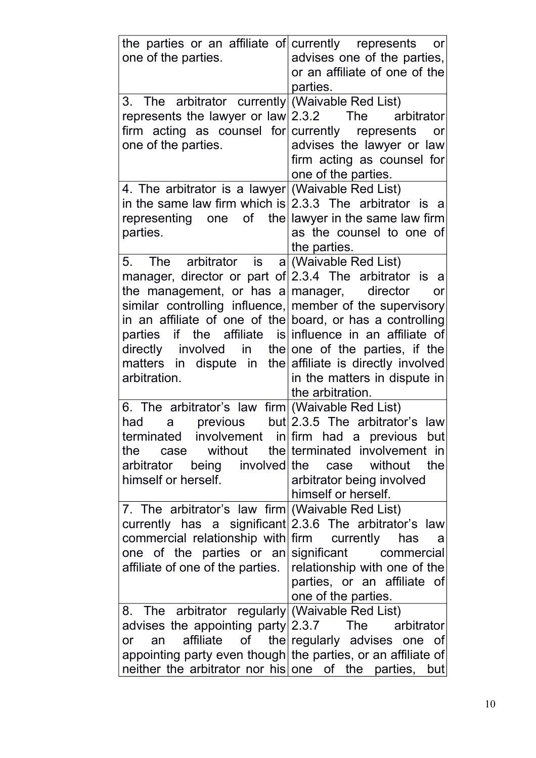| the parties or an affiliate of currently represents or                                                 |                                                              |
|--------------------------------------------------------------------------------------------------------|--------------------------------------------------------------|
| one of the parties.                                                                                    | advises one of the parties,<br>or an affiliate of one of the |
|                                                                                                        | parties.                                                     |
| 3. The arbitrator currently (Waivable Red List)                                                        |                                                              |
| represents the lawyer or $\text{law} 2.3.2$ The                                                        | arbitrator                                                   |
| firm acting as counsel for currently represents                                                        | or                                                           |
| one of the parties.                                                                                    | advises the lawyer or law                                    |
|                                                                                                        | firm acting as counsel for                                   |
|                                                                                                        | one of the parties.                                          |
| 4. The arbitrator is a lawyer (Waivable Red List)                                                      |                                                              |
| in the same law firm which is $ 2.3.3$ The arbitrator is a                                             |                                                              |
| representing one of the lawyer in the same law firm                                                    |                                                              |
| parties.                                                                                               | as the counsel to one of                                     |
|                                                                                                        | the parties.                                                 |
| 5.<br>The arbitrator is $a/(Wa$ ivable Red List)                                                       |                                                              |
| manager, director or part of $2.3.4$ The arbitrator is a<br>the management, or has a manager, director | or                                                           |
| similar controlling influence, member of the supervisory                                               |                                                              |
| in an affiliate of one of the board, or has a controlling                                              |                                                              |
| parties if the affiliate is influence in an affiliate of                                               |                                                              |
| directly involved in the one of the parties, if the                                                    |                                                              |
| matters in dispute in the affiliate is directly involved                                               |                                                              |
| arbitration.                                                                                           | in the matters in dispute in                                 |
|                                                                                                        | the arbitration.                                             |
| 6. The arbitrator's law firm (Waivable Red List)                                                       |                                                              |
| previous<br>had<br>a                                                                                   | but 2.3.5 The arbitrator's law                               |
| terminated involvement in firm had a previous but                                                      |                                                              |
| case<br>the                                                                                            | without the terminated involvement in                        |
| arbitrator being involved the case without                                                             | the                                                          |
| himself or herself.                                                                                    | arbitrator being involved<br>himself or herself.             |
| 7. The arbitrator's law firm (Waivable Red List)                                                       |                                                              |
| currently has a significant 2.3.6 The arbitrator's law                                                 |                                                              |
| commercial relationship with firm currently                                                            | has<br>- a                                                   |
| one of the parties or an significant                                                                   | commercial                                                   |
| affiliate of one of the parties.   relationship with one of the                                        |                                                              |
|                                                                                                        | parties, or an affiliate of                                  |
|                                                                                                        | one of the parties.                                          |
| 8. The arbitrator regularly (Waivable Red List)                                                        |                                                              |
| advises the appointing party $2.3.7$ The                                                               | arbitrator                                                   |
| an<br>$\mathsf{or}$                                                                                    | affiliate of the regularly advises one of                    |
| appointing party even though the parties, or an affiliate of                                           |                                                              |
| neither the arbitrator nor his one of the parties, but                                                 |                                                              |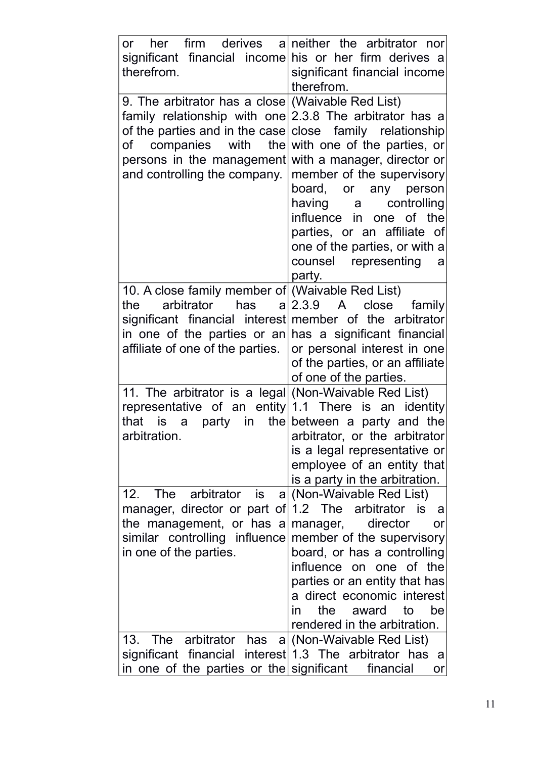| her firm derives<br>$\mathsf{or}$<br>significant financial income his or her firm derives a<br>therefrom.                                                                                                                                 | a neither the arbitrator nor<br>significant financial income<br>therefrom.                                                                                                                                                                                                                                                              |
|-------------------------------------------------------------------------------------------------------------------------------------------------------------------------------------------------------------------------------------------|-----------------------------------------------------------------------------------------------------------------------------------------------------------------------------------------------------------------------------------------------------------------------------------------------------------------------------------------|
| 9. The arbitrator has a close (Waivable Red List)<br>family relationship with one<br>of the parties and in the case<br>of companies with the<br>persons in the management<br>and controlling the company.                                 | 2.3.8 The arbitrator has a<br>close family relationship<br>with one of the parties, or<br>with a manager, director or<br>member of the supervisory<br>board, or any person<br>having a<br>controlling<br>influence in one of the<br>parties, or an affiliate of<br>one of the parties, or with a<br>counsel representing<br>a<br>party. |
| 10. A close family member of (Waivable Red List)<br>arbitrator<br>has<br>the<br>significant financial interest member of the arbitrator<br>in one of the parties or $an $ has a significant financial<br>affiliate of one of the parties. | a 2.3.9 A<br>close<br>family<br>or personal interest in one<br>of the parties, or an affiliate<br>of one of the parties.                                                                                                                                                                                                                |
| 11. The arbitrator is a legal (Non-Waivable Red List)<br>representative of an entity 1.1 There is an identity<br>that is a<br>arbitration                                                                                                 | party in the between a party and the<br>arbitrator, or the arbitrator<br>is a legal representative or<br>employee of an entity that<br>is a party in the arbitration.                                                                                                                                                                   |
| arbitrator is<br>12. The<br> a <br>manager, director or part of 1.2 The arbitrator is<br>the management, or has a<br>similar controlling influence<br>in one of the parties.                                                              | (Non-Waivable Red List)<br>a<br>manager, director<br>or<br>member of the supervisory<br>board, or has a controlling<br>influence on one of the<br>parties or an entity that has<br>a direct economic interest<br>the<br>award<br>to<br>be<br>in.<br>rendered in the arbitration.                                                        |
| 13. The arbitrator<br>has<br>significant financial interest 1.3 The arbitrator has<br>in one of the parties or the significant                                                                                                            | a (Non-Waivable Red List)<br>- a<br>financial<br>or                                                                                                                                                                                                                                                                                     |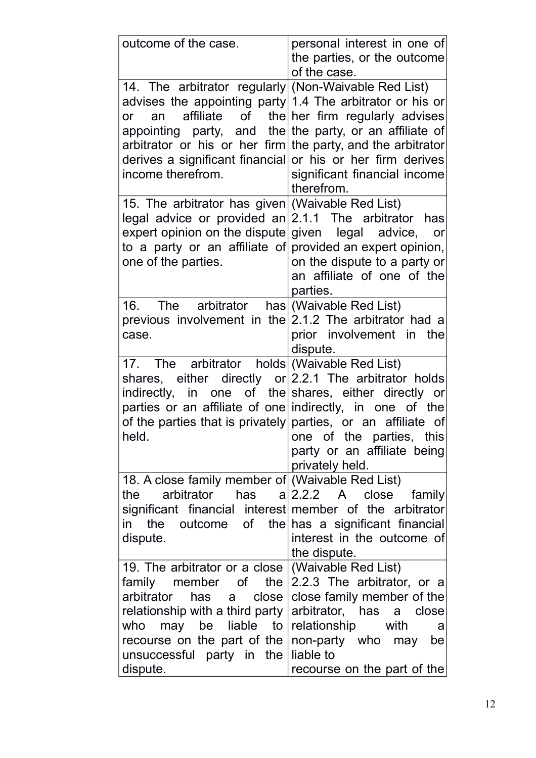| outcome of the case.                                                                                                                                                                                                                                                                                                                              | personal interest in one of<br>the parties, or the outcome<br>of the case.                                                                                                                                  |
|---------------------------------------------------------------------------------------------------------------------------------------------------------------------------------------------------------------------------------------------------------------------------------------------------------------------------------------------------|-------------------------------------------------------------------------------------------------------------------------------------------------------------------------------------------------------------|
| 14. The arbitrator regularly (Non-Waivable Red List)<br>advises the appointing party 1.4 The arbitrator or his or<br>an<br><b>or</b><br>appointing party, and the the party, or an affiliate of<br>arbitrator or his or her firm the party, and the arbitrator<br>derives a significant financial or his or her firm derives<br>income therefrom. | affiliate of the her firm regularly advises<br>significant financial income<br>therefrom.                                                                                                                   |
| 15. The arbitrator has given (Waivable Red List)<br>legal advice or provided an<br>expert opinion on the dispute given $\log a$ advice,<br>to a party or an affiliate of provided an expert opinion,<br>one of the parties.                                                                                                                       | 2.1.1 The arbitrator<br>has<br>or<br>on the dispute to a party or<br>an affiliate of one of the<br>parties.                                                                                                 |
| 16. The arbitrator<br>previous involvement in the $2.1.2$ The arbitrator had a<br>case.                                                                                                                                                                                                                                                           | has (Waivable Red List)<br>prior involvement in the<br>dispute.                                                                                                                                             |
| 17. The arbitrator holds (Waivable Red List)<br>shares, either directly $or 2.2.1$ The arbitrator holds<br>indirectly, in one of the shares, either directly or<br>parties or an affiliate of one indirectly, in one of the<br>of the parties that is privately parties, or an affiliate of<br>held.                                              | one of the parties, this<br>party or an affiliate being<br>privately held.                                                                                                                                  |
| 18. A close family member of (Waivable Red List)<br>arbitrator<br>the<br>significant financial interest member of the arbitrator<br>in the<br>dispute.                                                                                                                                                                                            | has $a 2.2.2 A$ close<br>family<br>outcome of the has a significant financial<br>interest in the outcome of<br>the dispute.                                                                                 |
| 19. The arbitrator or a close<br>family member of the<br>arbitrator<br>has a<br>close<br>relationship with a third party<br>who may be liable to<br>recourse on the part of the<br>unsuccessful party in the<br>dispute.                                                                                                                          | (Waivable Red List)<br>2.2.3 The arbitrator, or a<br>close family member of the<br>arbitrator, has a close<br>relationship with<br>a<br>non-party who may<br>be<br>liable to<br>recourse on the part of the |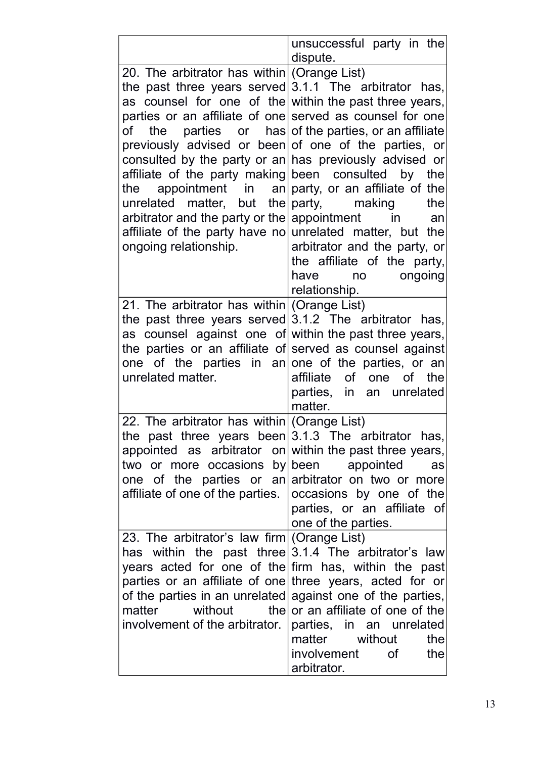|                                                                                                                                                                                                                                                                                                                                                                                                                                                                                                                                                                                                                                                                                                         | unsuccessful party in the<br>dispute.                                                                        |
|---------------------------------------------------------------------------------------------------------------------------------------------------------------------------------------------------------------------------------------------------------------------------------------------------------------------------------------------------------------------------------------------------------------------------------------------------------------------------------------------------------------------------------------------------------------------------------------------------------------------------------------------------------------------------------------------------------|--------------------------------------------------------------------------------------------------------------|
| 20. The arbitrator has within (Orange List)<br>the past three years served $3.1.1$ The arbitrator has,<br>as counsel for one of the within the past three years,<br>parties or an affiliate of one served as counsel for one<br>of the parties or has of the parties, or an affiliate<br>previously advised or been of one of the parties, or<br>consulted by the party or an has previously advised or<br>affiliate of the party making been consulted by the<br>the appointment in an party, or an affiliate of the<br>unrelated matter, but the party, making<br>arbitrator and the party or the appointment in<br>affiliate of the party have no unrelated matter, but the<br>ongoing relationship. | the<br>an<br>arbitrator and the party, or<br>the affiliate of the party,<br>have no ongoing<br>relationship. |
| 21. The arbitrator has within (Orange List)<br>the past three years served $3.1.2$ The arbitrator has,<br>as counsel against one of within the past three years,<br>the parties or an affiliate of served as counsel against<br>one of the parties in an one of the parties, or an<br>unrelated matter.                                                                                                                                                                                                                                                                                                                                                                                                 | affiliate of one of the<br>parties, in an unrelated<br>matter.                                               |
| 22. The arbitrator has within (Orange List)<br>the past three years been $3.1.3$ The arbitrator has,<br>appointed as arbitrator on within the past three years,<br>two or more occasions by been appointed<br>one of the parties or an arbitrator on two or more<br>affiliate of one of the parties.   occasions by one of the                                                                                                                                                                                                                                                                                                                                                                          | as<br>parties, or an affiliate of<br>one of the parties.                                                     |
| 23. The arbitrator's law firm (Orange List)<br>has within the past three $3.1.4$ The arbitrator's law<br>years acted for one of the firm has, within the past<br>parties or an affiliate of one three years, acted for or<br>of the parties in an unrelated against one of the parties,<br>matter without the or an affiliate of one of the<br>involvement of the arbitrator.                                                                                                                                                                                                                                                                                                                           | parties, in an unrelated<br>matter<br>without<br>the<br>involvement of<br>the<br>arbitrator.                 |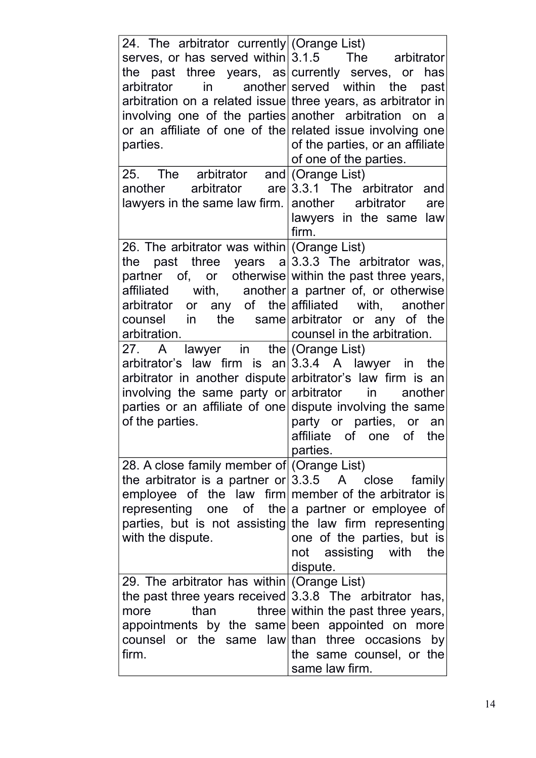| 24. The arbitrator currently (Orange List)<br>serves, or has served within $3.1.5$ The arbitrator<br>the past three years, as currently serves, or has<br>arbitrator<br>arbitration on a related issue three years, as arbitrator in<br>involving one of the parties another arbitration on a<br>or an affiliate of one of the related issue involving one<br>parties.                                                                                                                                                                                                                                                           | in another served within the past<br>of the parties, or an affiliate<br>of one of the parties.           |
|----------------------------------------------------------------------------------------------------------------------------------------------------------------------------------------------------------------------------------------------------------------------------------------------------------------------------------------------------------------------------------------------------------------------------------------------------------------------------------------------------------------------------------------------------------------------------------------------------------------------------------|----------------------------------------------------------------------------------------------------------|
| 25. The arbitrator and (Orange List)<br>another arbitrator $are 3.3.1$ The arbitrator and<br>lawyers in the same law firm. $ $ another arbitrator                                                                                                                                                                                                                                                                                                                                                                                                                                                                                | are<br>lawyers in the same<br>law<br>firm.                                                               |
| 26. The arbitrator was within (Orange List)<br>the past three years $a 3.3.3$ The arbitrator was,<br>partner of, or otherwise within the past three years,<br>$affilated$ with, another a partner of, or otherwise<br>arbitrator or any of the affiliated with, another<br>counsel in the same arbitrator or any of the<br>arbitration.<br>A lawyer in the (Orange List)<br>27.<br>arbitrator's law firm is $an 3.3.4$ A lawyer in the<br>arbitrator in another dispute arbitrator's law firm is an<br>involving the same party or arbitrator in<br>parties or an affiliate of one dispute involving the same<br>of the parties. | counsel in the arbitration.<br>another<br>party or parties, or an<br>affiliate of one of the<br>parties. |
| 28. A close family member of (Orange List)<br>the arbitrator is a partner or $3.3.5$ A close<br>employee of the law firm member of the arbitrator is<br>representing one of the a partner or employee of<br>parties, but is not assisting the law firm representing<br>with the dispute.                                                                                                                                                                                                                                                                                                                                         | family<br>one of the parties, but is<br>not assisting with the<br>dispute.                               |
| 29. The arbitrator has within (Orange List)<br>the past three years received $3.3.8$ The arbitrator has,<br>than<br>more<br>appointments by the same been appointed on more<br>counsel or the same law than three occasions by<br>firm.                                                                                                                                                                                                                                                                                                                                                                                          | three within the past three years,<br>the same counsel, or the<br>same law firm.                         |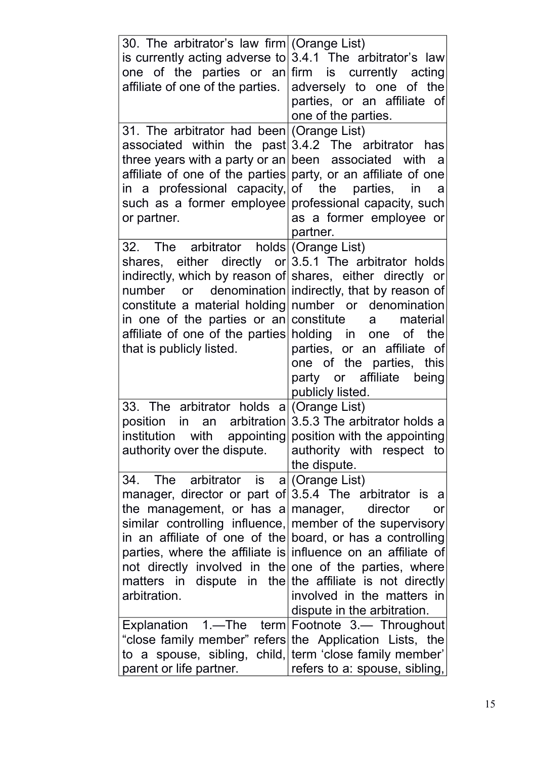| 30. The arbitrator's law firm (Orange List)<br>is currently acting adverse to $3.4.1$ The arbitrator's law<br>one of the parties or an firm is currently acting<br>affiliate of one of the parties. adversely to one of the<br>31. The arbitrator had been (Orange List)<br>associated within the past $3.4.2$ The arbitrator has<br>three years with a party or an been associated with<br>affiliate of one of the parties party, or an affiliate of one<br>in a professional capacity, of the parties, in a<br>such as a former employee professional capacity, such<br>or partner. | parties, or an affiliate of<br>one of the parties.<br><sub>a</sub><br>as a former employee or                                        |
|---------------------------------------------------------------------------------------------------------------------------------------------------------------------------------------------------------------------------------------------------------------------------------------------------------------------------------------------------------------------------------------------------------------------------------------------------------------------------------------------------------------------------------------------------------------------------------------|--------------------------------------------------------------------------------------------------------------------------------------|
| 32. The arbitrator holds (Orange List)<br>shares, either directly or $3.5.1$ The arbitrator holds<br>indirectly, which by reason of shares, either directly or<br>number or denomination indirectly, that by reason of<br>constitute a material holding number or denomination<br>in one of the parties or an constitute<br>affiliate of one of the parties holding in one of the<br>that is publicly listed.                                                                                                                                                                         | partner.<br>material<br>a<br>parties, or an affiliate of<br>one of the parties, this<br>party or affiliate being<br>publicly listed. |
| 33. The arbitrator holds $a/(Orange List)$<br>position in an arbitration $3.5.3$ The arbitrator holds a<br>institution with appointing position with the appointing<br>authority over the dispute.                                                                                                                                                                                                                                                                                                                                                                                    | authority with respect to<br>the dispute.                                                                                            |
| 34. The arbitrator is a (Orange List)<br>manager, director or part of $3.5.4$ The arbitrator is a<br>the management, or has a manager,<br>similar controlling influence, member of the supervisory<br>in an affiliate of one of the board, or has a controlling<br>parties, where the affiliate is influence on an affiliate of<br>not directly involved in the one of the parties, where<br>matters in dispute in the the affiliate is not directly<br>arbitration.<br>Explanation 1.—The term Footnote 3.— Throughout<br>"close family member" refers the Application Lists, the    | director<br><b>or</b><br>involved in the matters in<br>dispute in the arbitration.                                                   |
| to a spouse, sibling, child, term 'close family member'<br>parent or life partner.                                                                                                                                                                                                                                                                                                                                                                                                                                                                                                    | refers to a: spouse, sibling,                                                                                                        |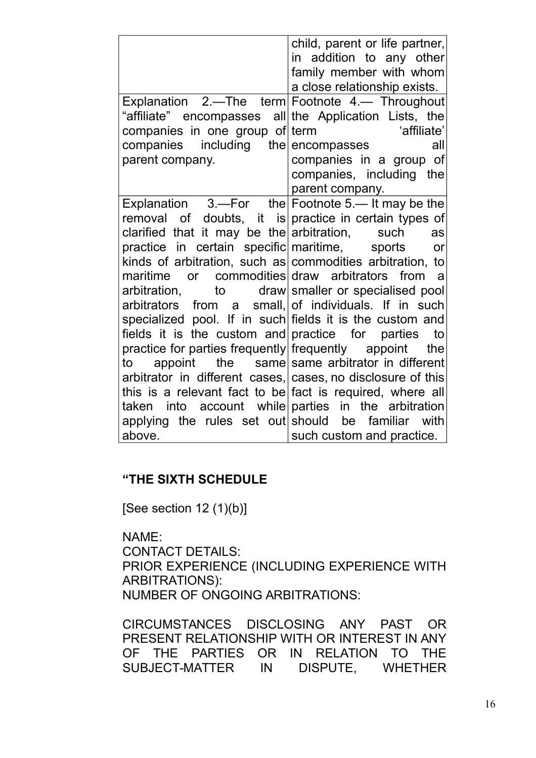| child, parent or life partner,<br>in addition to any other<br>family member with whom<br>a close relationship exists. |     |
|-----------------------------------------------------------------------------------------------------------------------|-----|
| Explanation 2.—The term Footnote 4.— Throughout                                                                       |     |
| "affiliate" encompasses all the Application Lists, the                                                                |     |
| companies in one group of term<br>'affiliate'                                                                         |     |
| companies including<br>the<br>encompasses                                                                             | all |
| parent company.<br>companies in a group of                                                                            |     |
| companies, including the                                                                                              |     |
| parent company.                                                                                                       |     |
| Explanation $3.$ -For the Footnote 5.- It may be the                                                                  |     |
| removal of doubts, it is practice in certain types of                                                                 |     |
| clarified that it may be the arbitration,<br>such                                                                     | as  |
| practice in certain specific maritime, sports                                                                         | or  |
| kinds of arbitration, such as commodities arbitration, to                                                             |     |
| maritime or commodities draw arbitrators from a                                                                       |     |
| arbitration, to draw smaller or specialised pool<br>arbitrators                                                       |     |
| from a small, of individuals. If in such<br>specialized pool. If in such fields it is the custom and                  |     |
| fields it is the custom and practice for parties                                                                      | to  |
| practice for parties frequently frequently appoint                                                                    | the |
| the same same arbitrator in different<br>appoint<br>to                                                                |     |
| arbitrator in different cases, cases, no disclosure of this                                                           |     |
| this is a relevant fact to be fact is required, where all                                                             |     |
| taken into account while parties in the arbitration                                                                   |     |
| applying the rules set out should be familiar with                                                                    |     |
| above.<br>such custom and practice.                                                                                   |     |

### **"THE SIXTH SCHEDULE**

[See section  $12(1)(b)$ ]

NAME:

CONTACT DETAILS:

PRIOR EXPERIENCE (INCLUDING EXPERIENCE WITH ARBITRATIONS): NUMBER OF ONGOING ARBITRATIONS:

CIRCUMSTANCES DISCLOSING ANY PAST OR PRESENT RELATIONSHIP WITH OR INTEREST IN ANY OF THE PARTIES OR IN RELATION TO THE SUBJECT-MATTER IN DISPUTE, WHETHER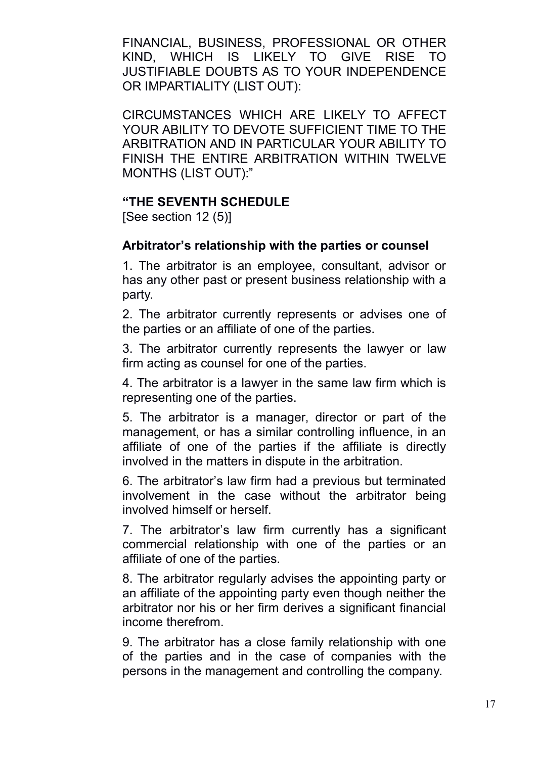FINANCIAL, BUSINESS, PROFESSIONAL OR OTHER KIND, WHICH IS LIKELY TO GIVE RISE TO JUSTIFIABLE DOUBTS AS TO YOUR INDEPENDENCE OR IMPARTIALITY (LIST OUT):

CIRCUMSTANCES WHICH ARE LIKELY TO AFFECT YOUR ABILITY TO DEVOTE SUFFICIENT TIME TO THE ARBITRATION AND IN PARTICULAR YOUR ABILITY TO FINISH THE ENTIRE ARBITRATION WITHIN TWELVE MONTHS (LIST OUT):"

### **"THE SEVENTH SCHEDULE**

[See section 12 (5)]

#### **Arbitrator's relationship with the parties or counsel**

1. The arbitrator is an employee, consultant, advisor or has any other past or present business relationship with a party.

2. The arbitrator currently represents or advises one of the parties or an affiliate of one of the parties.

3. The arbitrator currently represents the lawyer or law firm acting as counsel for one of the parties.

4. The arbitrator is a lawyer in the same law firm which is representing one of the parties.

5. The arbitrator is a manager, director or part of the management, or has a similar controlling influence, in an affiliate of one of the parties if the affiliate is directly involved in the matters in dispute in the arbitration.

6. The arbitrator's law firm had a previous but terminated involvement in the case without the arbitrator being involved himself or herself.

7. The arbitrator's law firm currently has a significant commercial relationship with one of the parties or an affiliate of one of the parties.

8. The arbitrator regularly advises the appointing party or an affiliate of the appointing party even though neither the arbitrator nor his or her firm derives a significant financial income therefrom.

9. The arbitrator has a close family relationship with one of the parties and in the case of companies with the persons in the management and controlling the company.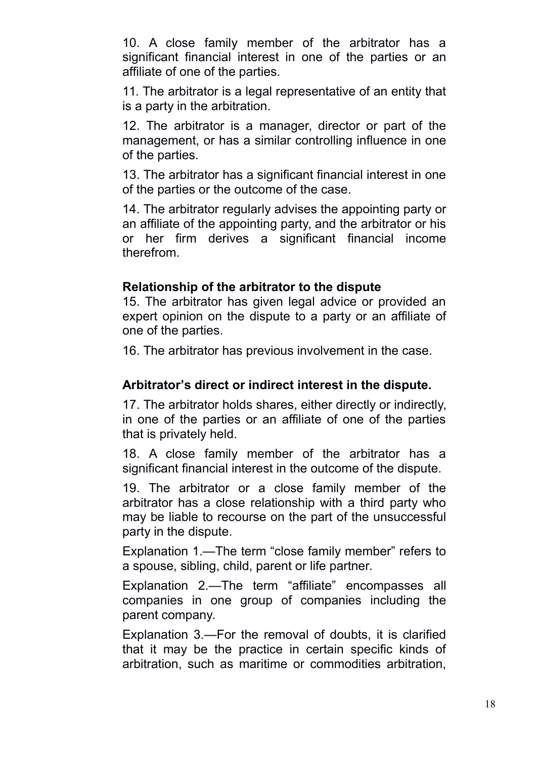10. A close family member of the arbitrator has a significant financial interest in one of the parties or an affiliate of one of the parties.

11. The arbitrator is a legal representative of an entity that is a party in the arbitration.

12. The arbitrator is a manager, director or part of the management, or has a similar controlling influence in one of the parties.

13. The arbitrator has a significant financial interest in one of the parties or the outcome of the case.

14. The arbitrator regularly advises the appointing party or an affiliate of the appointing party, and the arbitrator or his or her firm derives a significant financial income therefrom.

### **Relationship of the arbitrator to the dispute**

15. The arbitrator has given legal advice or provided an expert opinion on the dispute to a party or an affiliate of one of the parties.

16. The arbitrator has previous involvement in the case.

### **Arbitrator's direct or indirect interest in the dispute.**

17. The arbitrator holds shares, either directly or indirectly, in one of the parties or an affiliate of one of the parties that is privately held.

18. A close family member of the arbitrator has a significant financial interest in the outcome of the dispute.

19. The arbitrator or a close family member of the arbitrator has a close relationship with a third party who may be liable to recourse on the part of the unsuccessful party in the dispute.

Explanation 1.—The term "close family member" refers to a spouse, sibling, child, parent or life partner.

Explanation 2.—The term "affiliate" encompasses all companies in one group of companies including the parent company.

Explanation 3.—For the removal of doubts, it is clarified that it may be the practice in certain specific kinds of arbitration, such as maritime or commodities arbitration,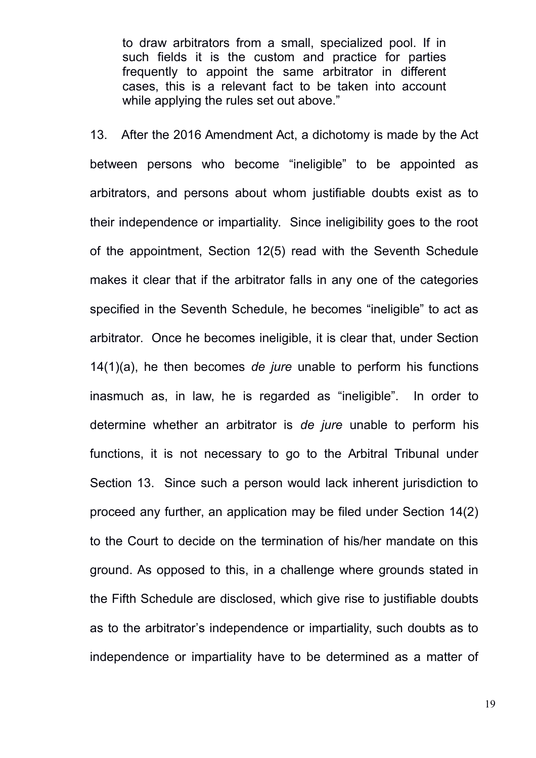to draw arbitrators from a small, specialized pool. If in such fields it is the custom and practice for parties frequently to appoint the same arbitrator in different cases, this is a relevant fact to be taken into account while applying the rules set out above."

13. After the 2016 Amendment Act, a dichotomy is made by the Act between persons who become "ineligible" to be appointed as arbitrators, and persons about whom justifiable doubts exist as to their independence or impartiality. Since ineligibility goes to the root of the appointment, Section 12(5) read with the Seventh Schedule makes it clear that if the arbitrator falls in any one of the categories specified in the Seventh Schedule, he becomes "ineligible" to act as arbitrator. Once he becomes ineligible, it is clear that, under Section 14(1)(a), he then becomes *de jure* unable to perform his functions inasmuch as, in law, he is regarded as "ineligible". In order to determine whether an arbitrator is *de jure* unable to perform his functions, it is not necessary to go to the Arbitral Tribunal under Section 13. Since such a person would lack inherent jurisdiction to proceed any further, an application may be filed under Section 14(2) to the Court to decide on the termination of his/her mandate on this ground. As opposed to this, in a challenge where grounds stated in the Fifth Schedule are disclosed, which give rise to justifiable doubts as to the arbitrator's independence or impartiality, such doubts as to independence or impartiality have to be determined as a matter of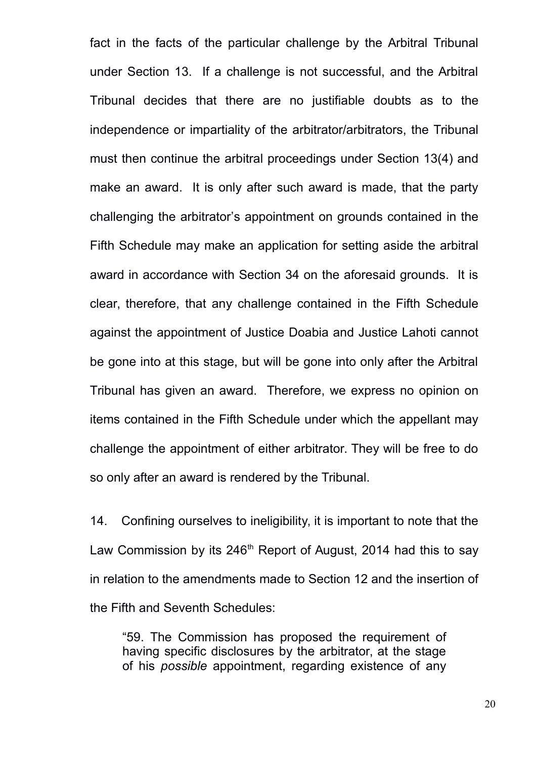fact in the facts of the particular challenge by the Arbitral Tribunal under Section 13. If a challenge is not successful, and the Arbitral Tribunal decides that there are no justifiable doubts as to the independence or impartiality of the arbitrator/arbitrators, the Tribunal must then continue the arbitral proceedings under Section 13(4) and make an award. It is only after such award is made, that the party challenging the arbitrator's appointment on grounds contained in the Fifth Schedule may make an application for setting aside the arbitral award in accordance with Section 34 on the aforesaid grounds. It is clear, therefore, that any challenge contained in the Fifth Schedule against the appointment of Justice Doabia and Justice Lahoti cannot be gone into at this stage, but will be gone into only after the Arbitral Tribunal has given an award. Therefore, we express no opinion on items contained in the Fifth Schedule under which the appellant may challenge the appointment of either arbitrator. They will be free to do so only after an award is rendered by the Tribunal.

14. Confining ourselves to ineligibility, it is important to note that the Law Commission by its  $246<sup>th</sup>$  Report of August, 2014 had this to say in relation to the amendments made to Section 12 and the insertion of the Fifth and Seventh Schedules:

"59. The Commission has proposed the requirement of having specific disclosures by the arbitrator, at the stage of his *possible* appointment, regarding existence of any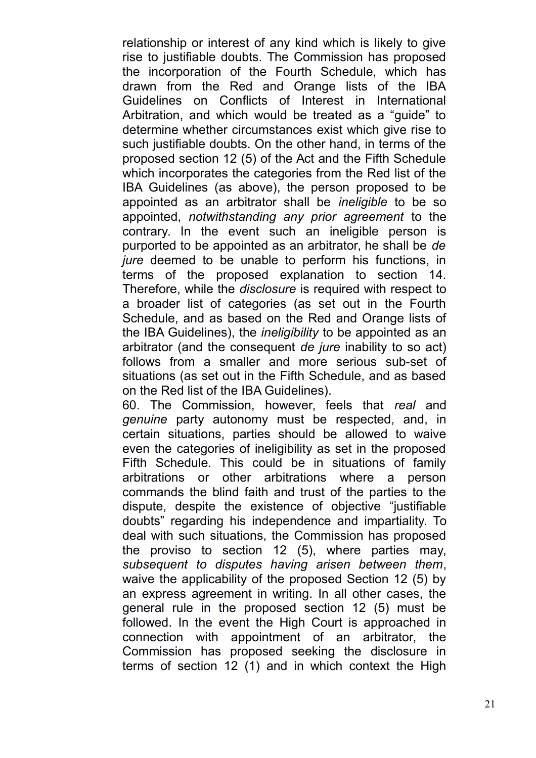relationship or interest of any kind which is likely to give rise to justifiable doubts. The Commission has proposed the incorporation of the Fourth Schedule, which has drawn from the Red and Orange lists of the IBA Guidelines on Conflicts of Interest in International Arbitration, and which would be treated as a "guide" to determine whether circumstances exist which give rise to such justifiable doubts. On the other hand, in terms of the proposed section 12 (5) of the Act and the Fifth Schedule which incorporates the categories from the Red list of the IBA Guidelines (as above), the person proposed to be appointed as an arbitrator shall be *ineligible* to be so appointed, *notwithstanding any prior agreement* to the contrary. In the event such an ineligible person is purported to be appointed as an arbitrator, he shall be *de jure* deemed to be unable to perform his functions, in terms of the proposed explanation to section 14. Therefore, while the *disclosure* is required with respect to a broader list of categories (as set out in the Fourth Schedule, and as based on the Red and Orange lists of the IBA Guidelines), the *ineligibility* to be appointed as an arbitrator (and the consequent *de jure* inability to so act) follows from a smaller and more serious sub-set of situations (as set out in the Fifth Schedule, and as based on the Red list of the IBA Guidelines).

60. The Commission, however, feels that *real* and *genuine* party autonomy must be respected, and, in certain situations, parties should be allowed to waive even the categories of ineligibility as set in the proposed Fifth Schedule. This could be in situations of family arbitrations or other arbitrations where a person commands the blind faith and trust of the parties to the dispute, despite the existence of objective "justifiable doubts" regarding his independence and impartiality. To deal with such situations, the Commission has proposed the proviso to section 12 (5), where parties may, *subsequent to disputes having arisen between them*, waive the applicability of the proposed Section 12 (5) by an express agreement in writing. In all other cases, the general rule in the proposed section 12 (5) must be followed. In the event the High Court is approached in connection with appointment of an arbitrator, the Commission has proposed seeking the disclosure in terms of section 12 (1) and in which context the High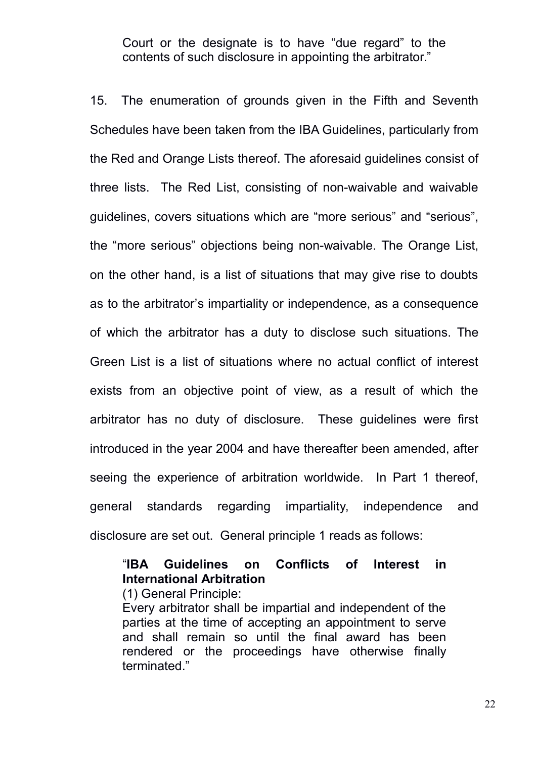Court or the designate is to have "due regard" to the contents of such disclosure in appointing the arbitrator."

15. The enumeration of grounds given in the Fifth and Seventh Schedules have been taken from the IBA Guidelines, particularly from the Red and Orange Lists thereof. The aforesaid guidelines consist of three lists. The Red List, consisting of non-waivable and waivable guidelines, covers situations which are "more serious" and "serious", the "more serious" objections being non-waivable. The Orange List, on the other hand, is a list of situations that may give rise to doubts as to the arbitrator's impartiality or independence, as a consequence of which the arbitrator has a duty to disclose such situations. The Green List is a list of situations where no actual conflict of interest exists from an objective point of view, as a result of which the arbitrator has no duty of disclosure. These guidelines were first introduced in the year 2004 and have thereafter been amended, after seeing the experience of arbitration worldwide. In Part 1 thereof, general standards regarding impartiality, independence and disclosure are set out. General principle 1 reads as follows:

## "**IBA Guidelines on Conflicts of Interest in International Arbitration**

(1) General Principle:

Every arbitrator shall be impartial and independent of the parties at the time of accepting an appointment to serve and shall remain so until the final award has been rendered or the proceedings have otherwise finally terminated."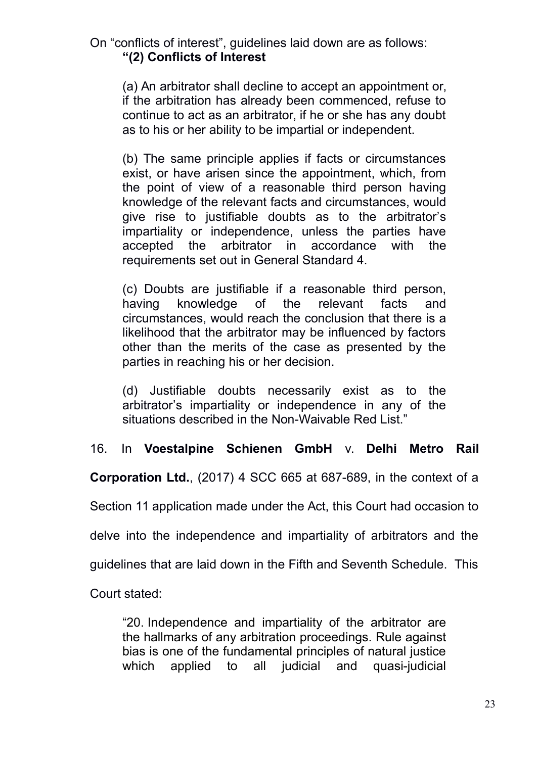## On "conflicts of interest", guidelines laid down are as follows: **"(2) Conflicts of Interest**

(a) An arbitrator shall decline to accept an appointment or, if the arbitration has already been commenced, refuse to continue to act as an arbitrator, if he or she has any doubt as to his or her ability to be impartial or independent.

(b) The same principle applies if facts or circumstances exist, or have arisen since the appointment, which, from the point of view of a reasonable third person having knowledge of the relevant facts and circumstances, would give rise to justifiable doubts as to the arbitrator's impartiality or independence, unless the parties have accepted the arbitrator in accordance with the requirements set out in General Standard 4.

(c) Doubts are justifiable if a reasonable third person, having knowledge of the relevant facts and circumstances, would reach the conclusion that there is a likelihood that the arbitrator may be influenced by factors other than the merits of the case as presented by the parties in reaching his or her decision.

(d) Justifiable doubts necessarily exist as to the arbitrator's impartiality or independence in any of the situations described in the Non-Waivable Red List."

16. In **Voestalpine Schienen GmbH** v. **Delhi Metro Rail**

**Corporation Ltd.**, (2017) 4 SCC 665 at 687-689, in the context of a

Section 11 application made under the Act, this Court had occasion to

delve into the independence and impartiality of arbitrators and the

guidelines that are laid down in the Fifth and Seventh Schedule. This

Court stated:

"20. Independence and impartiality of the arbitrator are the hallmarks of any arbitration proceedings. Rule against bias is one of the fundamental principles of natural justice which applied to all judicial and quasi-judicial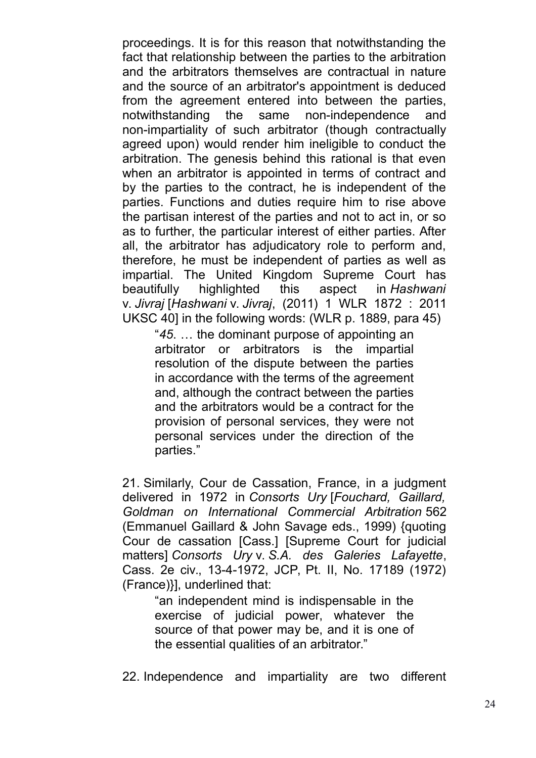proceedings. It is for this reason that notwithstanding the fact that relationship between the parties to the arbitration and the arbitrators themselves are contractual in nature and the source of an arbitrator's appointment is deduced from the agreement entered into between the parties, notwithstanding the same non-independence and non-impartiality of such arbitrator (though contractually agreed upon) would render him ineligible to conduct the arbitration. The genesis behind this rational is that even when an arbitrator is appointed in terms of contract and by the parties to the contract, he is independent of the parties. Functions and duties require him to rise above the partisan interest of the parties and not to act in, or so as to further, the particular interest of either parties. After all, the arbitrator has adjudicatory role to perform and, therefore, he must be independent of parties as well as impartial. The United Kingdom Supreme Court has beautifully highlighted this aspect in *Hashwani* v. *Jivraj* [*Hashwani* v. *Jivraj*, (2011) 1 WLR 1872 : 2011 UKSC 40] in the following words: (WLR p. 1889, para 45)

"*45*. … the dominant purpose of appointing an arbitrator or arbitrators is the impartial resolution of the dispute between the parties in accordance with the terms of the agreement and, although the contract between the parties and the arbitrators would be a contract for the provision of personal services, they were not personal services under the direction of the parties."

21. Similarly, Cour de Cassation, France, in a judgment delivered in 1972 in *Consorts Ury* [*Fouchard, Gaillard, Goldman on International Commercial Arbitration* 562 (Emmanuel Gaillard & John Savage eds., 1999) {quoting Cour de cassation [Cass.] [Supreme Court for judicial matters] *Consorts Ury* v. *S.A. des Galeries Lafayette*, Cass. 2e civ., 13-4-1972, JCP, Pt. II, No. 17189 (1972) (France)}], underlined that:

"an independent mind is indispensable in the exercise of judicial power, whatever the source of that power may be, and it is one of the essential qualities of an arbitrator."

22. Independence and impartiality are two different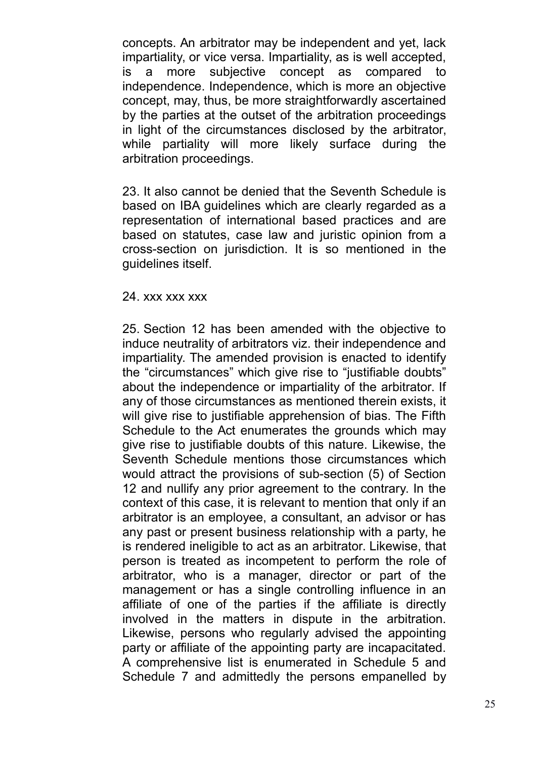concepts. An arbitrator may be independent and yet, lack impartiality, or vice versa. Impartiality, as is well accepted, is a more subjective concept as compared to independence. Independence, which is more an objective concept, may, thus, be more straightforwardly ascertained by the parties at the outset of the arbitration proceedings in light of the circumstances disclosed by the arbitrator, while partiality will more likely surface during the arbitration proceedings.

23. It also cannot be denied that the Seventh Schedule is based on IBA guidelines which are clearly regarded as a representation of international based practices and are based on statutes, case law and juristic opinion from a cross-section on jurisdiction. It is so mentioned in the guidelines itself.

#### 24. xxx xxx xxx

25. Section 12 has been amended with the objective to induce neutrality of arbitrators viz. their independence and impartiality. The amended provision is enacted to identify the "circumstances" which give rise to "justifiable doubts" about the independence or impartiality of the arbitrator. If any of those circumstances as mentioned therein exists, it will give rise to justifiable apprehension of bias. The Fifth Schedule to the Act enumerates the grounds which may give rise to justifiable doubts of this nature. Likewise, the Seventh Schedule mentions those circumstances which would attract the provisions of sub-section (5) of Section 12 and nullify any prior agreement to the contrary. In the context of this case, it is relevant to mention that only if an arbitrator is an employee, a consultant, an advisor or has any past or present business relationship with a party, he is rendered ineligible to act as an arbitrator. Likewise, that person is treated as incompetent to perform the role of arbitrator, who is a manager, director or part of the management or has a single controlling influence in an affiliate of one of the parties if the affiliate is directly involved in the matters in dispute in the arbitration. Likewise, persons who regularly advised the appointing party or affiliate of the appointing party are incapacitated. A comprehensive list is enumerated in Schedule 5 and Schedule 7 and admittedly the persons empanelled by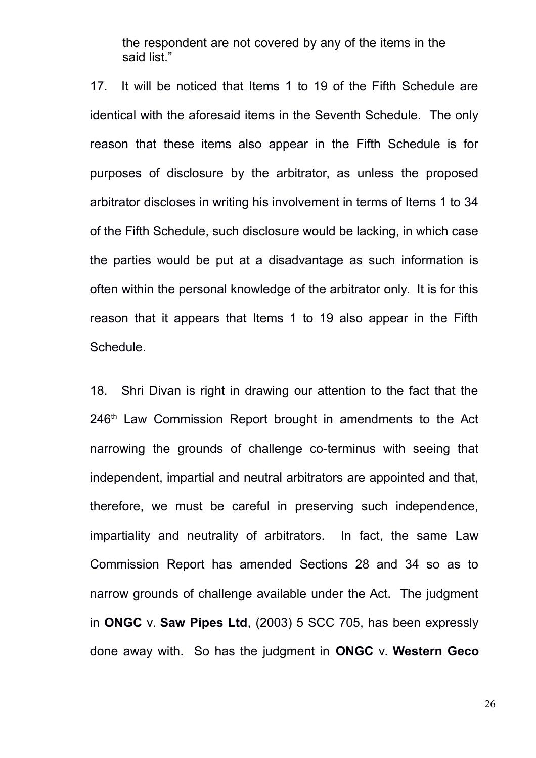the respondent are not covered by any of the items in the said list."

17. It will be noticed that Items 1 to 19 of the Fifth Schedule are identical with the aforesaid items in the Seventh Schedule. The only reason that these items also appear in the Fifth Schedule is for purposes of disclosure by the arbitrator, as unless the proposed arbitrator discloses in writing his involvement in terms of Items 1 to 34 of the Fifth Schedule, such disclosure would be lacking, in which case the parties would be put at a disadvantage as such information is often within the personal knowledge of the arbitrator only. It is for this reason that it appears that Items 1 to 19 also appear in the Fifth Schedule.

18. Shri Divan is right in drawing our attention to the fact that the 246<sup>th</sup> Law Commission Report brought in amendments to the Act narrowing the grounds of challenge co-terminus with seeing that independent, impartial and neutral arbitrators are appointed and that, therefore, we must be careful in preserving such independence, impartiality and neutrality of arbitrators. In fact, the same Law Commission Report has amended Sections 28 and 34 so as to narrow grounds of challenge available under the Act. The judgment in **ONGC** v. **Saw Pipes Ltd**, (2003) 5 SCC 705, has been expressly done away with. So has the judgment in **ONGC** v. **Western Geco**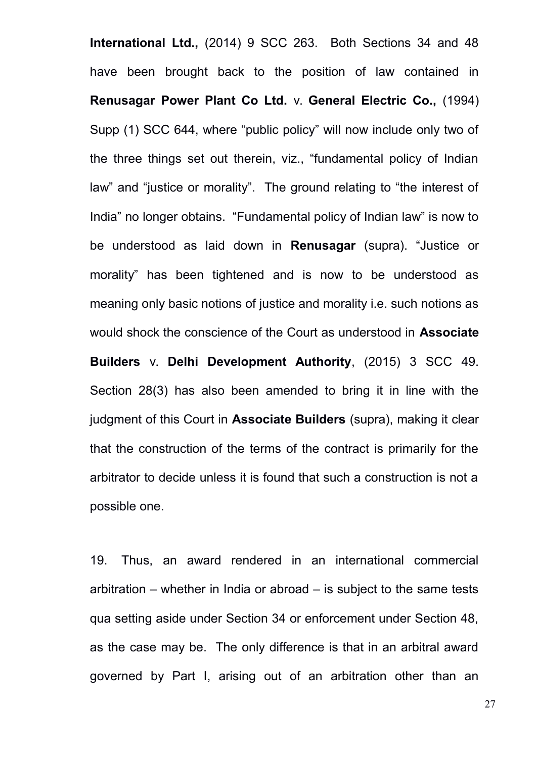**International Ltd.,** (2014) 9 SCC 263. Both Sections 34 and 48 have been brought back to the position of law contained in **Renusagar Power Plant Co Ltd.** v. **General Electric Co.,** (1994) Supp (1) SCC 644, where "public policy" will now include only two of the three things set out therein, viz., "fundamental policy of Indian law" and "justice or morality". The ground relating to "the interest of India" no longer obtains. "Fundamental policy of Indian law" is now to be understood as laid down in **Renusagar** (supra). "Justice or morality" has been tightened and is now to be understood as meaning only basic notions of justice and morality i.e. such notions as would shock the conscience of the Court as understood in **Associate Builders** v. **Delhi Development Authority**, (2015) 3 SCC 49. Section 28(3) has also been amended to bring it in line with the judgment of this Court in **Associate Builders** (supra), making it clear that the construction of the terms of the contract is primarily for the arbitrator to decide unless it is found that such a construction is not a possible one.

19. Thus, an award rendered in an international commercial arbitration – whether in India or abroad – is subject to the same tests qua setting aside under Section 34 or enforcement under Section 48, as the case may be. The only difference is that in an arbitral award governed by Part I, arising out of an arbitration other than an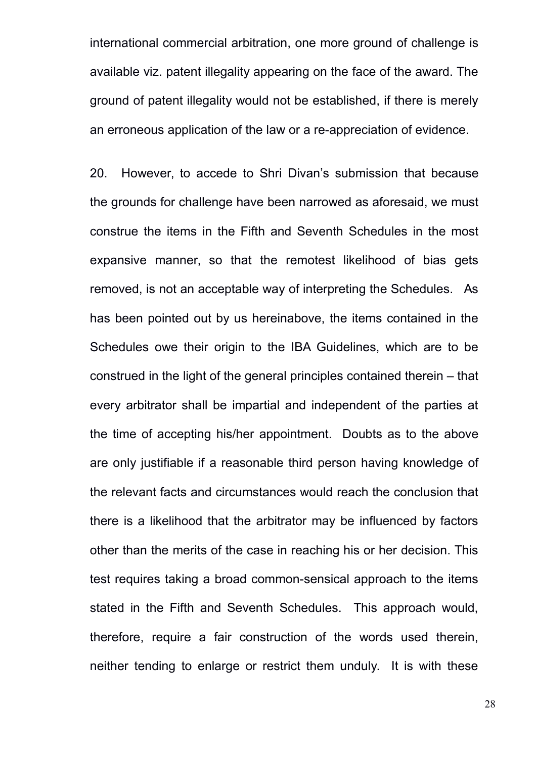international commercial arbitration, one more ground of challenge is available viz. patent illegality appearing on the face of the award. The ground of patent illegality would not be established, if there is merely an erroneous application of the law or a re-appreciation of evidence.

20. However, to accede to Shri Divan's submission that because the grounds for challenge have been narrowed as aforesaid, we must construe the items in the Fifth and Seventh Schedules in the most expansive manner, so that the remotest likelihood of bias gets removed, is not an acceptable way of interpreting the Schedules. As has been pointed out by us hereinabove, the items contained in the Schedules owe their origin to the IBA Guidelines, which are to be construed in the light of the general principles contained therein – that every arbitrator shall be impartial and independent of the parties at the time of accepting his/her appointment. Doubts as to the above are only justifiable if a reasonable third person having knowledge of the relevant facts and circumstances would reach the conclusion that there is a likelihood that the arbitrator may be influenced by factors other than the merits of the case in reaching his or her decision. This test requires taking a broad common-sensical approach to the items stated in the Fifth and Seventh Schedules. This approach would, therefore, require a fair construction of the words used therein, neither tending to enlarge or restrict them unduly. It is with these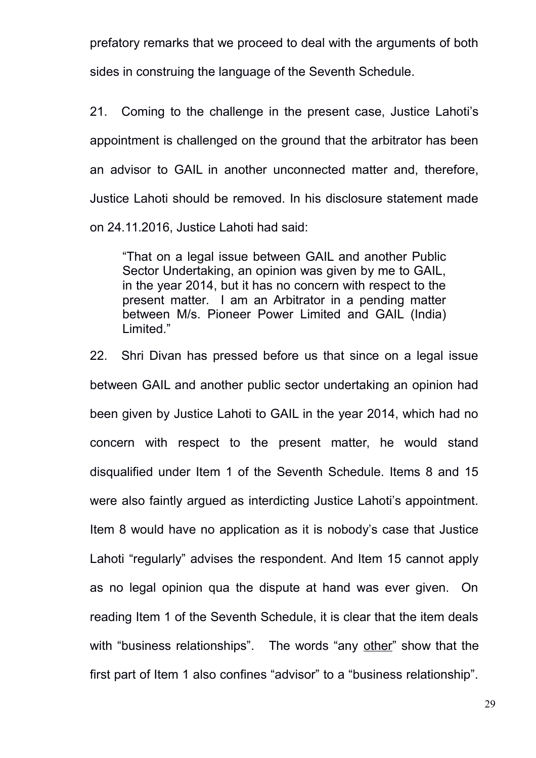prefatory remarks that we proceed to deal with the arguments of both sides in construing the language of the Seventh Schedule.

21. Coming to the challenge in the present case, Justice Lahoti's appointment is challenged on the ground that the arbitrator has been an advisor to GAIL in another unconnected matter and, therefore, Justice Lahoti should be removed. In his disclosure statement made on 24.11.2016, Justice Lahoti had said:

"That on a legal issue between GAIL and another Public Sector Undertaking, an opinion was given by me to GAIL, in the year 2014, but it has no concern with respect to the present matter. I am an Arbitrator in a pending matter between M/s. Pioneer Power Limited and GAIL (India) Limited."

22. Shri Divan has pressed before us that since on a legal issue between GAIL and another public sector undertaking an opinion had been given by Justice Lahoti to GAIL in the year 2014, which had no concern with respect to the present matter, he would stand disqualified under Item 1 of the Seventh Schedule. Items 8 and 15 were also faintly argued as interdicting Justice Lahoti's appointment. Item 8 would have no application as it is nobody's case that Justice Lahoti "regularly" advises the respondent. And Item 15 cannot apply as no legal opinion qua the dispute at hand was ever given. On reading Item 1 of the Seventh Schedule, it is clear that the item deals with "business relationships". The words "any other" show that the first part of Item 1 also confines "advisor" to a "business relationship".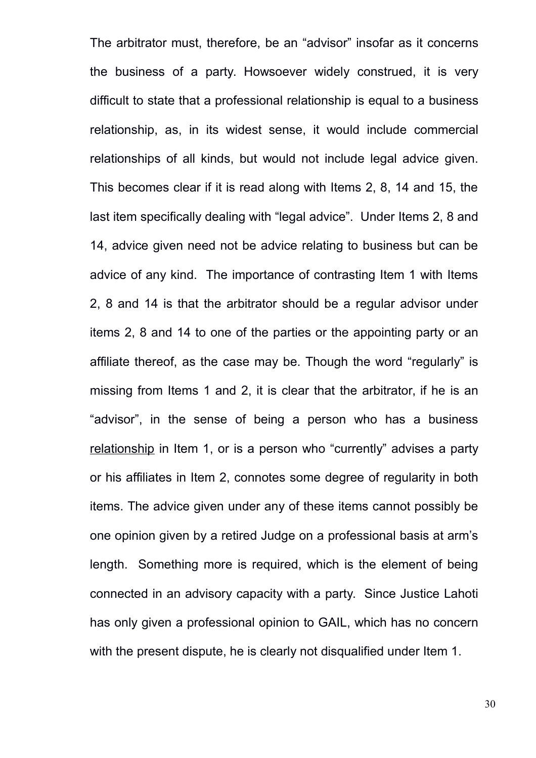The arbitrator must, therefore, be an "advisor" insofar as it concerns the business of a party. Howsoever widely construed, it is very difficult to state that a professional relationship is equal to a business relationship, as, in its widest sense, it would include commercial relationships of all kinds, but would not include legal advice given. This becomes clear if it is read along with Items 2, 8, 14 and 15, the last item specifically dealing with "legal advice". Under Items 2, 8 and 14, advice given need not be advice relating to business but can be advice of any kind. The importance of contrasting Item 1 with Items 2, 8 and 14 is that the arbitrator should be a regular advisor under items 2, 8 and 14 to one of the parties or the appointing party or an affiliate thereof, as the case may be. Though the word "regularly" is missing from Items 1 and 2, it is clear that the arbitrator, if he is an "advisor", in the sense of being a person who has a business relationship in Item 1, or is a person who "currently" advises a party or his affiliates in Item 2, connotes some degree of regularity in both items. The advice given under any of these items cannot possibly be one opinion given by a retired Judge on a professional basis at arm's length. Something more is required, which is the element of being connected in an advisory capacity with a party. Since Justice Lahoti has only given a professional opinion to GAIL, which has no concern with the present dispute, he is clearly not disqualified under Item 1.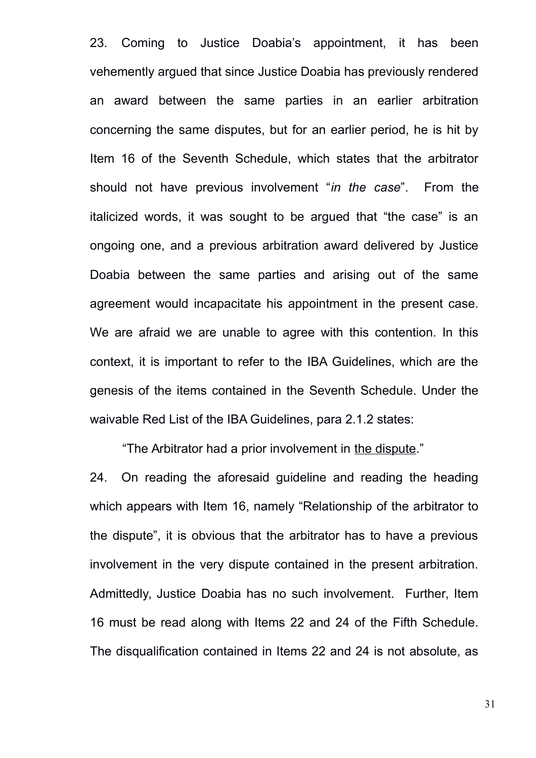23. Coming to Justice Doabia's appointment, it has been vehemently argued that since Justice Doabia has previously rendered an award between the same parties in an earlier arbitration concerning the same disputes, but for an earlier period, he is hit by Item 16 of the Seventh Schedule, which states that the arbitrator should not have previous involvement "*in the case*". From the italicized words, it was sought to be argued that "the case" is an ongoing one, and a previous arbitration award delivered by Justice Doabia between the same parties and arising out of the same agreement would incapacitate his appointment in the present case. We are afraid we are unable to agree with this contention. In this context, it is important to refer to the IBA Guidelines, which are the genesis of the items contained in the Seventh Schedule. Under the waivable Red List of the IBA Guidelines, para 2.1.2 states:

"The Arbitrator had a prior involvement in the dispute."

24. On reading the aforesaid guideline and reading the heading which appears with Item 16, namely "Relationship of the arbitrator to the dispute", it is obvious that the arbitrator has to have a previous involvement in the very dispute contained in the present arbitration. Admittedly, Justice Doabia has no such involvement. Further, Item 16 must be read along with Items 22 and 24 of the Fifth Schedule. The disqualification contained in Items 22 and 24 is not absolute, as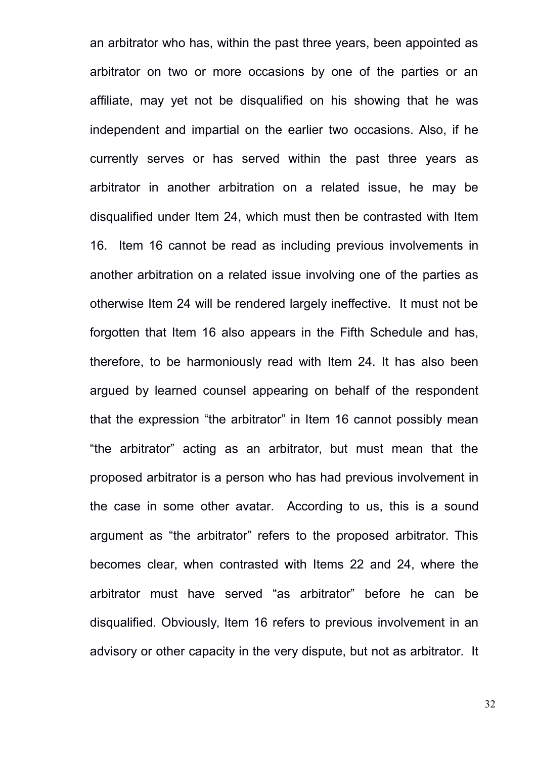an arbitrator who has, within the past three years, been appointed as arbitrator on two or more occasions by one of the parties or an affiliate, may yet not be disqualified on his showing that he was independent and impartial on the earlier two occasions. Also, if he currently serves or has served within the past three years as arbitrator in another arbitration on a related issue, he may be disqualified under Item 24, which must then be contrasted with Item 16. Item 16 cannot be read as including previous involvements in another arbitration on a related issue involving one of the parties as otherwise Item 24 will be rendered largely ineffective. It must not be forgotten that Item 16 also appears in the Fifth Schedule and has, therefore, to be harmoniously read with Item 24. It has also been argued by learned counsel appearing on behalf of the respondent that the expression "the arbitrator" in Item 16 cannot possibly mean "the arbitrator" acting as an arbitrator, but must mean that the proposed arbitrator is a person who has had previous involvement in the case in some other avatar*.* According to us, this is a sound argument as "the arbitrator" refers to the proposed arbitrator. This becomes clear, when contrasted with Items 22 and 24, where the arbitrator must have served "as arbitrator" before he can be disqualified. Obviously, Item 16 refers to previous involvement in an advisory or other capacity in the very dispute, but not as arbitrator. It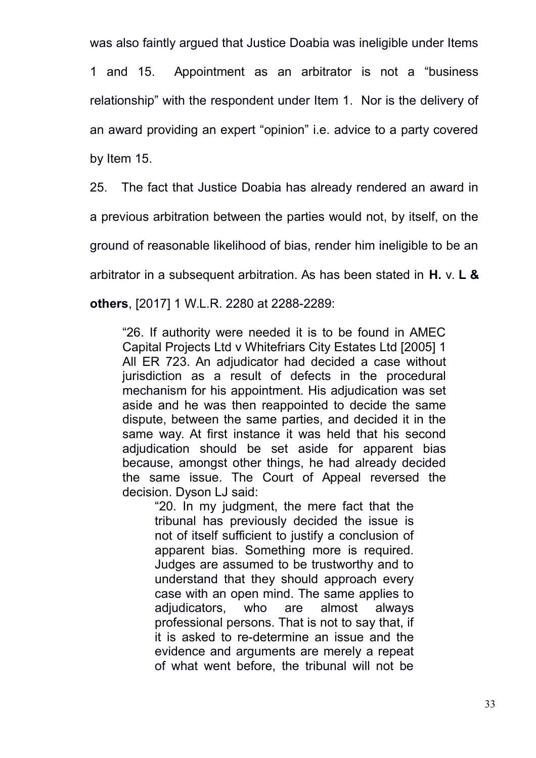was also faintly argued that Justice Doabia was ineligible under Items

1 and 15. Appointment as an arbitrator is not a "business relationship" with the respondent under Item 1. Nor is the delivery of an award providing an expert "opinion" i.e. advice to a party covered by Item 15.

25. The fact that Justice Doabia has already rendered an award in

a previous arbitration between the parties would not, by itself, on the

ground of reasonable likelihood of bias, render him ineligible to be an

arbitrator in a subsequent arbitration. As has been stated in **H.** v. **L &**

**others**, [2017] 1 W.L.R. 2280 at 2288-2289:

"26. If authority were needed it is to be found in AMEC Capital Projects Ltd v Whitefriars City Estates Ltd [2005] 1 All ER 723. An adjudicator had decided a case without jurisdiction as a result of defects in the procedural mechanism for his appointment. His adjudication was set aside and he was then reappointed to decide the same dispute, between the same parties, and decided it in the same way. At first instance it was held that his second adjudication should be set aside for apparent bias because, amongst other things, he had already decided the same issue. The Court of Appeal reversed the decision. Dyson LJ said:

"20. In my judgment, the mere fact that the tribunal has previously decided the issue is not of itself sufficient to justify a conclusion of apparent bias. Something more is required. Judges are assumed to be trustworthy and to understand that they should approach every case with an open mind. The same applies to adjudicators, who are almost always professional persons. That is not to say that, if it is asked to re-determine an issue and the evidence and arguments are merely a repeat of what went before, the tribunal will not be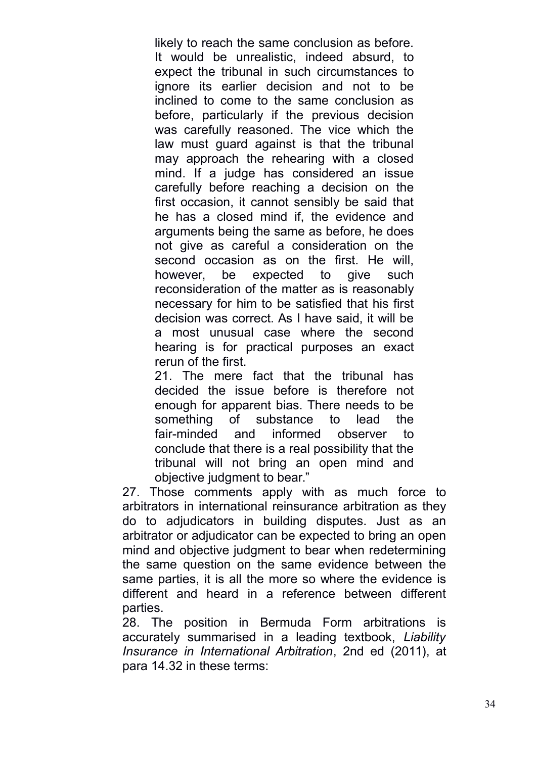likely to reach the same conclusion as before. It would be unrealistic, indeed absurd, to expect the tribunal in such circumstances to ignore its earlier decision and not to be inclined to come to the same conclusion as before, particularly if the previous decision was carefully reasoned. The vice which the law must guard against is that the tribunal may approach the rehearing with a closed mind. If a judge has considered an issue carefully before reaching a decision on the first occasion, it cannot sensibly be said that he has a closed mind if, the evidence and arguments being the same as before, he does not give as careful a consideration on the second occasion as on the first. He will, however, be expected to give such reconsideration of the matter as is reasonably necessary for him to be satisfied that his first decision was correct. As I have said, it will be a most unusual case where the second hearing is for practical purposes an exact rerun of the first.

21. The mere fact that the tribunal has decided the issue before is therefore not enough for apparent bias. There needs to be something of substance to lead the fair-minded and informed observer to conclude that there is a real possibility that the tribunal will not bring an open mind and objective judgment to bear."

27. Those comments apply with as much force to arbitrators in international reinsurance arbitration as they do to adjudicators in building disputes. Just as an arbitrator or adjudicator can be expected to bring an open mind and objective judgment to bear when redetermining the same question on the same evidence between the same parties, it is all the more so where the evidence is different and heard in a reference between different parties.

28. The position in Bermuda Form arbitrations is accurately summarised in a leading textbook, *Liability Insurance in International Arbitration*, 2nd ed (2011), at para 14.32 in these terms: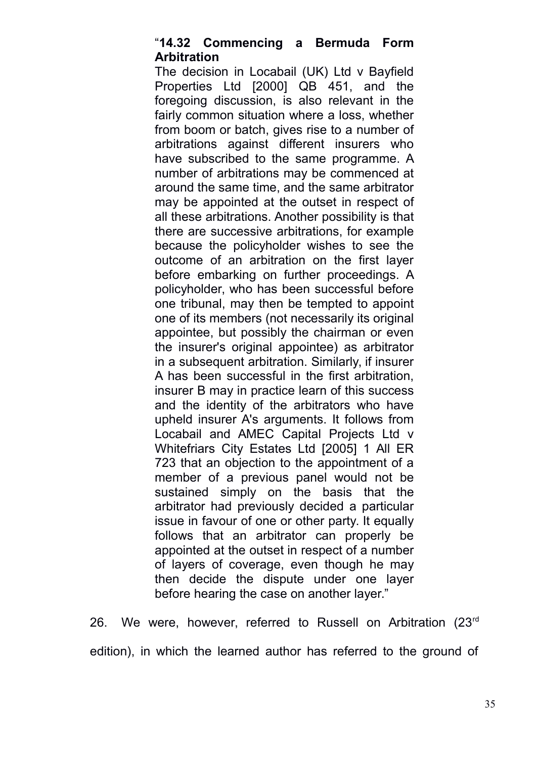### "**14.32 Commencing a Bermuda Form Arbitration**

The decision in Locabail (UK) Ltd v Bayfield Properties Ltd [2000] QB 451, and the foregoing discussion, is also relevant in the fairly common situation where a loss, whether from boom or batch, gives rise to a number of arbitrations against different insurers who have subscribed to the same programme. A number of arbitrations may be commenced at around the same time, and the same arbitrator may be appointed at the outset in respect of all these arbitrations. Another possibility is that there are successive arbitrations, for example because the policyholder wishes to see the outcome of an arbitration on the first layer before embarking on further proceedings. A policyholder, who has been successful before one tribunal, may then be tempted to appoint one of its members (not necessarily its original appointee, but possibly the chairman or even the insurer's original appointee) as arbitrator in a subsequent arbitration. Similarly, if insurer A has been successful in the first arbitration, insurer B may in practice learn of this success and the identity of the arbitrators who have upheld insurer A's arguments. It follows from Locabail and AMEC Capital Projects Ltd v Whitefriars City Estates Ltd [2005] 1 All ER 723 that an objection to the appointment of a member of a previous panel would not be sustained simply on the basis that the arbitrator had previously decided a particular issue in favour of one or other party. It equally follows that an arbitrator can properly be appointed at the outset in respect of a number of layers of coverage, even though he may then decide the dispute under one layer before hearing the case on another layer."

26. We were, however, referred to Russell on Arbitration (23rd edition), in which the learned author has referred to the ground of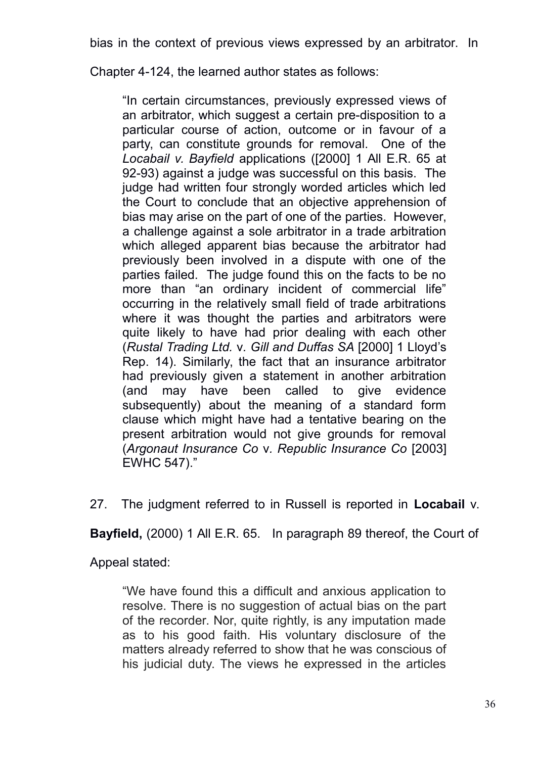Chapter 4-124, the learned author states as follows:

"In certain circumstances, previously expressed views of an arbitrator, which suggest a certain pre-disposition to a particular course of action, outcome or in favour of a party, can constitute grounds for removal. One of the *Locabail v. Bayfield* applications ([2000] 1 All E.R. 65 at 92-93) against a judge was successful on this basis. The judge had written four strongly worded articles which led the Court to conclude that an objective apprehension of bias may arise on the part of one of the parties. However, a challenge against a sole arbitrator in a trade arbitration which alleged apparent bias because the arbitrator had previously been involved in a dispute with one of the parties failed. The judge found this on the facts to be no more than "an ordinary incident of commercial life" occurring in the relatively small field of trade arbitrations where it was thought the parties and arbitrators were quite likely to have had prior dealing with each other (*Rustal Trading Ltd.* v*. Gill and Duffas SA* [2000] 1 Lloyd's Rep. 14). Similarly, the fact that an insurance arbitrator had previously given a statement in another arbitration (and may have been called to give evidence subsequently) about the meaning of a standard form clause which might have had a tentative bearing on the present arbitration would not give grounds for removal (*Argonaut Insurance Co* v*. Republic Insurance Co* [2003] EWHC 547)."

27. The judgment referred to in Russell is reported in **Locabail** v.

**Bayfield,** (2000) 1 All E.R. 65. In paragraph 89 thereof, the Court of

Appeal stated:

"We have found this a difficult and anxious application to resolve. There is no suggestion of actual bias on the part of the recorder. Nor, quite rightly, is any imputation made as to his good faith. His voluntary disclosure of the matters already referred to show that he was conscious of his judicial duty. The views he expressed in the articles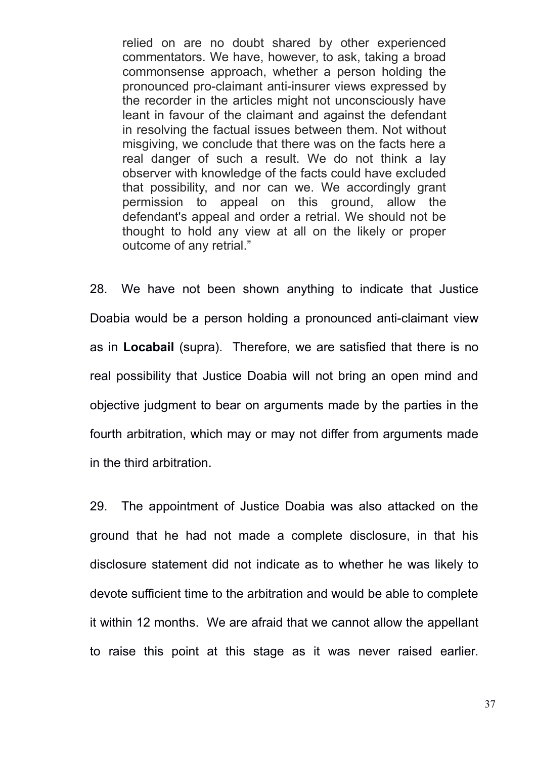relied on are no doubt shared by other experienced commentators. We have, however, to ask, taking a broad commonsense approach, whether a person holding the pronounced pro-claimant anti-insurer views expressed by the recorder in the articles might not unconsciously have leant in favour of the claimant and against the defendant in resolving the factual issues between them. Not without misgiving, we conclude that there was on the facts here a real danger of such a result. We do not think a lay observer with knowledge of the facts could have excluded that possibility, and nor can we. We accordingly grant permission to appeal on this ground, allow the defendant's appeal and order a retrial. We should not be thought to hold any view at all on the likely or proper outcome of any retrial."

28. We have not been shown anything to indicate that Justice Doabia would be a person holding a pronounced anti-claimant view as in **Locabail** (supra). Therefore, we are satisfied that there is no real possibility that Justice Doabia will not bring an open mind and objective judgment to bear on arguments made by the parties in the fourth arbitration, which may or may not differ from arguments made in the third arbitration.

29. The appointment of Justice Doabia was also attacked on the ground that he had not made a complete disclosure, in that his disclosure statement did not indicate as to whether he was likely to devote sufficient time to the arbitration and would be able to complete it within 12 months. We are afraid that we cannot allow the appellant to raise this point at this stage as it was never raised earlier.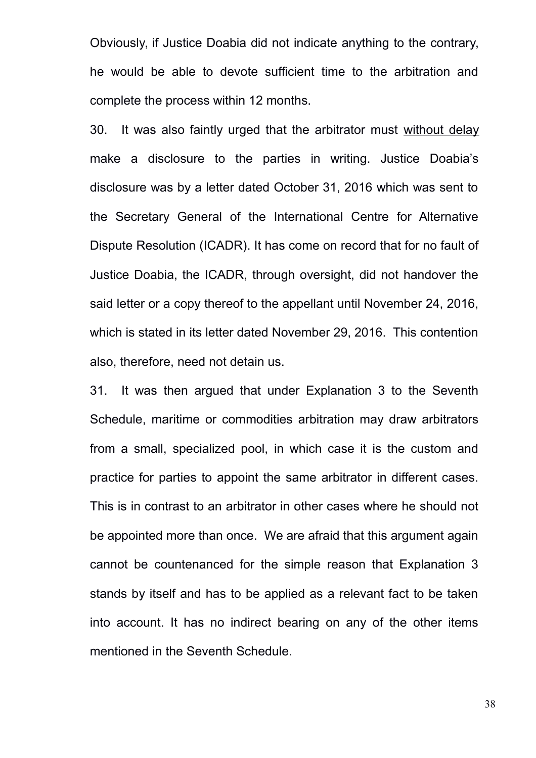Obviously, if Justice Doabia did not indicate anything to the contrary, he would be able to devote sufficient time to the arbitration and complete the process within 12 months.

30. It was also faintly urged that the arbitrator must without delay make a disclosure to the parties in writing. Justice Doabia's disclosure was by a letter dated October 31, 2016 which was sent to the Secretary General of the International Centre for Alternative Dispute Resolution (ICADR). It has come on record that for no fault of Justice Doabia, the ICADR, through oversight, did not handover the said letter or a copy thereof to the appellant until November 24, 2016, which is stated in its letter dated November 29, 2016. This contention also, therefore, need not detain us.

31. It was then argued that under Explanation 3 to the Seventh Schedule, maritime or commodities arbitration may draw arbitrators from a small, specialized pool, in which case it is the custom and practice for parties to appoint the same arbitrator in different cases. This is in contrast to an arbitrator in other cases where he should not be appointed more than once. We are afraid that this argument again cannot be countenanced for the simple reason that Explanation 3 stands by itself and has to be applied as a relevant fact to be taken into account. It has no indirect bearing on any of the other items mentioned in the Seventh Schedule.